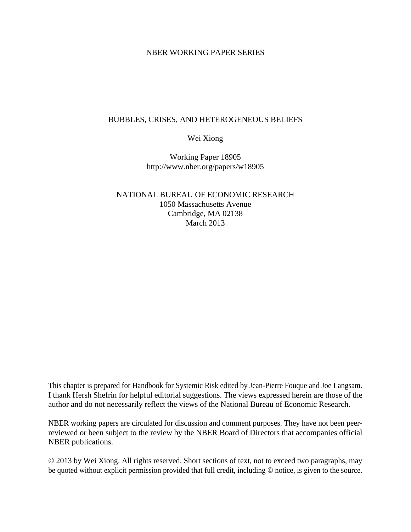# NBER WORKING PAPER SERIES

# BUBBLES, CRISES, AND HETEROGENEOUS BELIEFS

Wei Xiong

Working Paper 18905 http://www.nber.org/papers/w18905

NATIONAL BUREAU OF ECONOMIC RESEARCH 1050 Massachusetts Avenue Cambridge, MA 02138 March 2013

This chapter is prepared for Handbook for Systemic Risk edited by Jean-Pierre Fouque and Joe Langsam. I thank Hersh Shefrin for helpful editorial suggestions. The views expressed herein are those of the author and do not necessarily reflect the views of the National Bureau of Economic Research.

NBER working papers are circulated for discussion and comment purposes. They have not been peerreviewed or been subject to the review by the NBER Board of Directors that accompanies official NBER publications.

© 2013 by Wei Xiong. All rights reserved. Short sections of text, not to exceed two paragraphs, may be quoted without explicit permission provided that full credit, including © notice, is given to the source.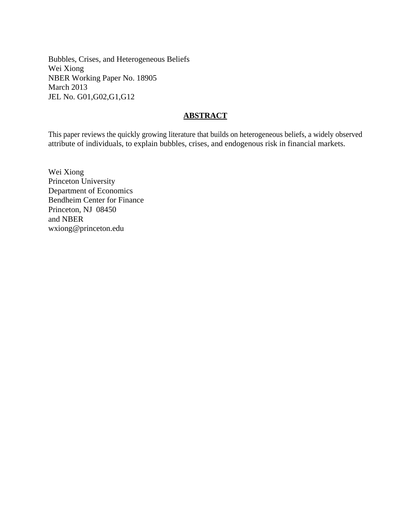Bubbles, Crises, and Heterogeneous Beliefs Wei Xiong NBER Working Paper No. 18905 March 2013 JEL No. G01,G02,G1,G12

# **ABSTRACT**

This paper reviews the quickly growing literature that builds on heterogeneous beliefs, a widely observed attribute of individuals, to explain bubbles, crises, and endogenous risk in financial markets.

Wei Xiong Princeton University Department of Economics Bendheim Center for Finance Princeton, NJ 08450 and NBER wxiong@princeton.edu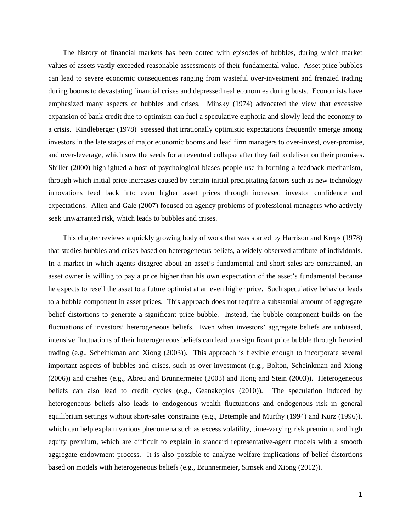The history of financial markets has been dotted with episodes of bubbles, during which market values of assets vastly exceeded reasonable assessments of their fundamental value. Asset price bubbles can lead to severe economic consequences ranging from wasteful over-investment and frenzied trading during booms to devastating financial crises and depressed real economies during busts. Economists have emphasized many aspects of bubbles and crises. Minsky (1974) advocated the view that excessive expansion of bank credit due to optimism can fuel a speculative euphoria and slowly lead the economy to a crisis. Kindleberger (1978) stressed that irrationally optimistic expectations frequently emerge among investors in the late stages of major economic booms and lead firm managers to over-invest, over-promise, and over-leverage, which sow the seeds for an eventual collapse after they fail to deliver on their promises. Shiller (2000) highlighted a host of psychological biases people use in forming a feedback mechanism, through which initial price increases caused by certain initial precipitating factors such as new technology innovations feed back into even higher asset prices through increased investor confidence and expectations. Allen and Gale (2007) focused on agency problems of professional managers who actively seek unwarranted risk, which leads to bubbles and crises.

This chapter reviews a quickly growing body of work that was started by Harrison and Kreps (1978) that studies bubbles and crises based on heterogeneous beliefs, a widely observed attribute of individuals. In a market in which agents disagree about an asset's fundamental and short sales are constrained, an asset owner is willing to pay a price higher than his own expectation of the asset's fundamental because he expects to resell the asset to a future optimist at an even higher price. Such speculative behavior leads to a bubble component in asset prices. This approach does not require a substantial amount of aggregate belief distortions to generate a significant price bubble. Instead, the bubble component builds on the fluctuations of investors' heterogeneous beliefs. Even when investors' aggregate beliefs are unbiased, intensive fluctuations of their heterogeneous beliefs can lead to a significant price bubble through frenzied trading (e.g., Scheinkman and Xiong (2003)). This approach is flexible enough to incorporate several important aspects of bubbles and crises, such as over-investment (e.g., Bolton, Scheinkman and Xiong (2006)) and crashes (e.g., Abreu and Brunnermeier (2003) and Hong and Stein (2003)). Heterogeneous beliefs can also lead to credit cycles (e.g., Geanakoplos (2010)). The speculation induced by heterogeneous beliefs also leads to endogenous wealth fluctuations and endogenous risk in general equilibrium settings without short-sales constraints (e.g., Detemple and Murthy (1994) and Kurz (1996)), which can help explain various phenomena such as excess volatility, time-varying risk premium, and high equity premium, which are difficult to explain in standard representative-agent models with a smooth aggregate endowment process. It is also possible to analyze welfare implications of belief distortions based on models with heterogeneous beliefs (e.g., Brunnermeier, Simsek and Xiong (2012)).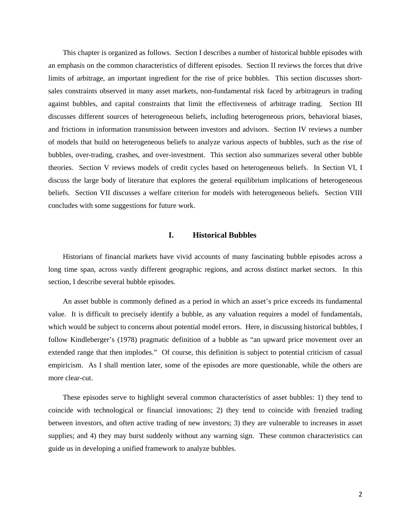This chapter is organized as follows. Section I describes a number of historical bubble episodes with an emphasis on the common characteristics of different episodes. Section II reviews the forces that drive limits of arbitrage, an important ingredient for the rise of price bubbles. This section discusses shortsales constraints observed in many asset markets, non-fundamental risk faced by arbitrageurs in trading against bubbles, and capital constraints that limit the effectiveness of arbitrage trading. Section III discusses different sources of heterogeneous beliefs, including heterogeneous priors, behavioral biases, and frictions in information transmission between investors and advisors. Section IV reviews a number of models that build on heterogeneous beliefs to analyze various aspects of bubbles, such as the rise of bubbles, over-trading, crashes, and over-investment. This section also summarizes several other bubble theories. Section V reviews models of credit cycles based on heterogeneous beliefs. In Section VI, I discuss the large body of literature that explores the general equilibrium implications of heterogeneous beliefs. Section VII discusses a welfare criterion for models with heterogeneous beliefs. Section VIII concludes with some suggestions for future work.

# **I. Historical Bubbles**

Historians of financial markets have vivid accounts of many fascinating bubble episodes across a long time span, across vastly different geographic regions, and across distinct market sectors. In this section, I describe several bubble episodes.

An asset bubble is commonly defined as a period in which an asset's price exceeds its fundamental value. It is difficult to precisely identify a bubble, as any valuation requires a model of fundamentals, which would be subject to concerns about potential model errors. Here, in discussing historical bubbles, I follow Kindleberger's (1978) pragmatic definition of a bubble as "an upward price movement over an extended range that then implodes." Of course, this definition is subject to potential criticism of casual empiricism. As I shall mention later, some of the episodes are more questionable, while the others are more clear-cut.

These episodes serve to highlight several common characteristics of asset bubbles: 1) they tend to coincide with technological or financial innovations; 2) they tend to coincide with frenzied trading between investors, and often active trading of new investors; 3) they are vulnerable to increases in asset supplies; and 4) they may burst suddenly without any warning sign. These common characteristics can guide us in developing a unified framework to analyze bubbles.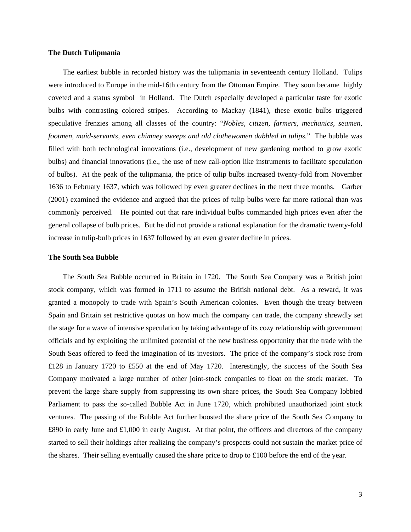### **The Dutch Tulipmania**

The earliest bubble in recorded history was the tulipmania in seventeenth century Holland. Tulips were introduced to Europe in the mid-16th century from the Ottoman Empire. They soon became highly coveted and a status symbol in Holland. The Dutch especially developed a particular taste for exotic bulbs with contrasting colored stripes. According to Mackay (1841), these exotic bulbs triggered speculative frenzies among all classes of the country: "*Nobles, citizen, farmers, mechanics, seamen, footmen, maid-servants, even chimney sweeps and old clothewomen dabbled in tulips.*" The bubble was filled with both technological innovations (i.e., development of new gardening method to grow exotic bulbs) and financial innovations (i.e., the use of new call-option like instruments to facilitate speculation of bulbs). At the peak of the tulipmania, the price of tulip bulbs increased twenty-fold from November 1636 to February 1637, which was followed by even greater declines in the next three months. Garber (2001) examined the evidence and argued that the prices of tulip bulbs were far more rational than was commonly perceived. He pointed out that rare individual bulbs commanded high prices even after the general collapse of bulb prices. But he did not provide a rational explanation for the dramatic twenty-fold increase in tulip-bulb prices in 1637 followed by an even greater decline in prices.

#### **The South Sea Bubble**

The South Sea Bubble occurred in Britain in 1720. The South Sea Company was a British joint stock company, which was formed in 1711 to assume the British national debt. As a reward, it was granted a monopoly to trade with Spain's South American colonies. Even though the treaty between Spain and Britain set restrictive quotas on how much the company can trade, the company shrewdly set the stage for a wave of intensive speculation by taking advantage of its cozy relationship with government officials and by exploiting the unlimited potential of the new business opportunity that the trade with the South Seas offered to feed the imagination of its investors. The price of the company's stock rose from £128 in January 1720 to £550 at the end of May 1720. Interestingly, the success of the South Sea Company motivated a large number of other joint-stock companies to float on the stock market. To prevent the large share supply from suppressing its own share prices, the South Sea Company lobbied Parliament to pass the so-called Bubble Act in June 1720, which prohibited unauthorized joint stock ventures. The passing of the Bubble Act further boosted the share price of the South Sea Company to £890 in early June and £1,000 in early August. At that point, the officers and directors of the company started to sell their holdings after realizing the company's prospects could not sustain the market price of the shares. Their selling eventually caused the share price to drop to £100 before the end of the year.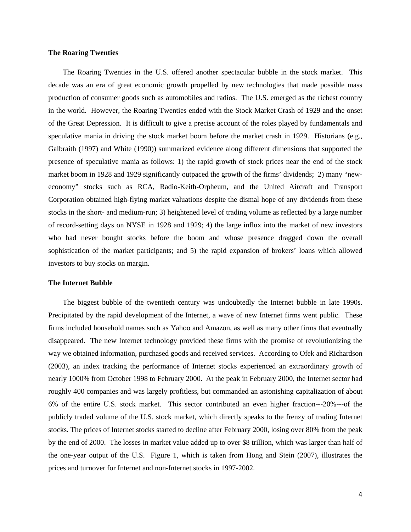### **The Roaring Twenties**

The Roaring Twenties in the U.S. offered another spectacular bubble in the stock market. This decade was an era of great economic growth propelled by new technologies that made possible mass production of consumer goods such as automobiles and radios. The U.S. emerged as the richest country in the world. However, the Roaring Twenties ended with the Stock Market Crash of 1929 and the onset of the Great Depression. It is difficult to give a precise account of the roles played by fundamentals and speculative mania in driving the stock market boom before the market crash in 1929. Historians (e.g., Galbraith (1997) and White (1990)) summarized evidence along different dimensions that supported the presence of speculative mania as follows: 1) the rapid growth of stock prices near the end of the stock market boom in 1928 and 1929 significantly outpaced the growth of the firms' dividends; 2) many "neweconomy" stocks such as RCA, Radio-Keith-Orpheum, and the United Aircraft and Transport Corporation obtained high-flying market valuations despite the dismal hope of any dividends from these stocks in the short- and medium-run; 3) heightened level of trading volume as reflected by a large number of record-setting days on NYSE in 1928 and 1929; 4) the large influx into the market of new investors who had never bought stocks before the boom and whose presence dragged down the overall sophistication of the market participants; and 5) the rapid expansion of brokers' loans which allowed investors to buy stocks on margin.

#### **The Internet Bubble**

The biggest bubble of the twentieth century was undoubtedly the Internet bubble in late 1990s. Precipitated by the rapid development of the Internet, a wave of new Internet firms went public. These firms included household names such as Yahoo and Amazon, as well as many other firms that eventually disappeared. The new Internet technology provided these firms with the promise of revolutionizing the way we obtained information, purchased goods and received services. According to Ofek and Richardson (2003), an index tracking the performance of Internet stocks experienced an extraordinary growth of nearly 1000% from October 1998 to February 2000. At the peak in February 2000, the Internet sector had roughly 400 companies and was largely profitless, but commanded an astonishing capitalization of about 6% of the entire U.S. stock market. This sector contributed an even higher fraction---20%---of the publicly traded volume of the U.S. stock market, which directly speaks to the frenzy of trading Internet stocks. The prices of Internet stocks started to decline after February 2000, losing over 80% from the peak by the end of 2000. The losses in market value added up to over \$8 trillion, which was larger than half of the one-year output of the U.S. Figure 1, which is taken from Hong and Stein (2007), illustrates the prices and turnover for Internet and non-Internet stocks in 1997-2002.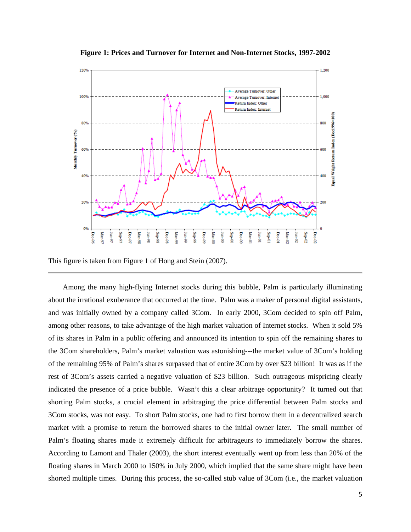

**Figure 1: Prices and Turnover for Internet and Non-Internet Stocks, 1997-2002** 

This figure is taken from Figure 1 of Hong and Stein (2007).

Among the many high-flying Internet stocks during this bubble, Palm is particularly illuminating about the irrational exuberance that occurred at the time. Palm was a maker of personal digital assistants, and was initially owned by a company called 3Com. In early 2000, 3Com decided to spin off Palm, among other reasons, to take advantage of the high market valuation of Internet stocks. When it sold 5% of its shares in Palm in a public offering and announced its intention to spin off the remaining shares to the 3Com shareholders, Palm's market valuation was astonishing---the market value of 3Com's holding of the remaining 95% of Palm's shares surpassed that of entire 3Com by over \$23 billion! It was as if the rest of 3Com's assets carried a negative valuation of \$23 billion. Such outrageous mispricing clearly indicated the presence of a price bubble. Wasn't this a clear arbitrage opportunity? It turned out that shorting Palm stocks, a crucial element in arbitraging the price differential between Palm stocks and 3Com stocks, was not easy. To short Palm stocks, one had to first borrow them in a decentralized search market with a promise to return the borrowed shares to the initial owner later. The small number of Palm's floating shares made it extremely difficult for arbitrageurs to immediately borrow the shares. According to Lamont and Thaler (2003), the short interest eventually went up from less than 20% of the floating shares in March 2000 to 150% in July 2000, which implied that the same share might have been shorted multiple times. During this process, the so-called stub value of 3Com (i.e., the market valuation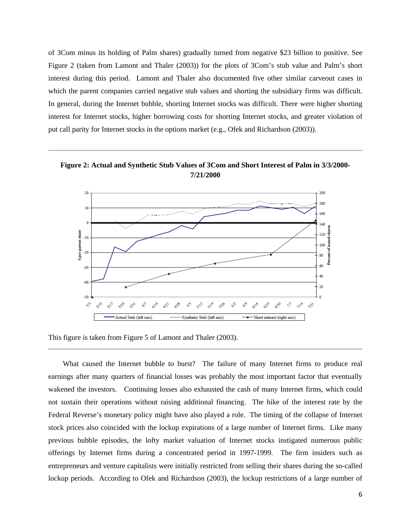of 3Com minus its holding of Palm shares) gradually turned from negative \$23 billion to positive. See Figure 2 (taken from Lamont and Thaler (2003)) for the plots of 3Com's stub value and Palm's short interest during this period. Lamont and Thaler also documented five other similar carveout cases in which the parent companies carried negative stub values and shorting the subsidiary firms was difficult. In general, during the Internet bubble, shorting Internet stocks was difficult. There were higher shorting interest for Internet stocks, higher borrowing costs for shorting Internet stocks, and greater violation of put call parity for Internet stocks in the options market (e.g., Ofek and Richardson (2003)).

**Figure 2: Actual and Synthetic Stub Values of 3Com and Short Interest of Palm in 3/3/2000- 7/21/2000** 



This figure is taken from Figure 5 of Lamont and Thaler (2003).

What caused the Internet bubble to burst? The failure of many Internet firms to produce real earnings after many quarters of financial losses was probably the most important factor that eventually wakened the investors. Continuing losses also exhausted the cash of many Internet firms, which could not sustain their operations without raising additional financing. The hike of the interest rate by the Federal Reverse's monetary policy might have also played a role. The timing of the collapse of Internet stock prices also coincided with the lockup expirations of a large number of Internet firms. Like many previous bubble episodes, the lofty market valuation of Internet stocks instigated numerous public offerings by Internet firms during a concentrated period in 1997-1999. The firm insiders such as entrepreneurs and venture capitalists were initially restricted from selling their shares during the so-called lockup periods. According to Ofek and Richardson (2003), the lockup restrictions of a large number of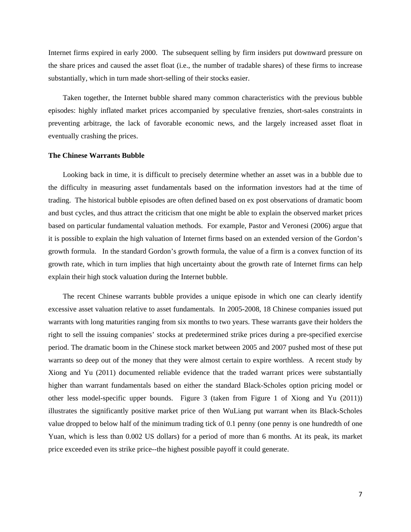Internet firms expired in early 2000. The subsequent selling by firm insiders put downward pressure on the share prices and caused the asset float (i.e., the number of tradable shares) of these firms to increase substantially, which in turn made short-selling of their stocks easier.

Taken together, the Internet bubble shared many common characteristics with the previous bubble episodes: highly inflated market prices accompanied by speculative frenzies, short-sales constraints in preventing arbitrage, the lack of favorable economic news, and the largely increased asset float in eventually crashing the prices.

# **The Chinese Warrants Bubble**

Looking back in time, it is difficult to precisely determine whether an asset was in a bubble due to the difficulty in measuring asset fundamentals based on the information investors had at the time of trading. The historical bubble episodes are often defined based on ex post observations of dramatic boom and bust cycles, and thus attract the criticism that one might be able to explain the observed market prices based on particular fundamental valuation methods. For example, Pastor and Veronesi (2006) argue that it is possible to explain the high valuation of Internet firms based on an extended version of the Gordon's growth formula. In the standard Gordon's growth formula, the value of a firm is a convex function of its growth rate, which in turn implies that high uncertainty about the growth rate of Internet firms can help explain their high stock valuation during the Internet bubble.

The recent Chinese warrants bubble provides a unique episode in which one can clearly identify excessive asset valuation relative to asset fundamentals. In 2005-2008, 18 Chinese companies issued put warrants with long maturities ranging from six months to two years. These warrants gave their holders the right to sell the issuing companies' stocks at predetermined strike prices during a pre-specified exercise period. The dramatic boom in the Chinese stock market between 2005 and 2007 pushed most of these put warrants so deep out of the money that they were almost certain to expire worthless. A recent study by Xiong and Yu (2011) documented reliable evidence that the traded warrant prices were substantially higher than warrant fundamentals based on either the standard Black-Scholes option pricing model or other less model-specific upper bounds. Figure 3 (taken from Figure 1 of Xiong and Yu (2011)) illustrates the significantly positive market price of then WuLiang put warrant when its Black-Scholes value dropped to below half of the minimum trading tick of 0.1 penny (one penny is one hundredth of one Yuan, which is less than 0.002 US dollars) for a period of more than 6 months. At its peak, its market price exceeded even its strike price--the highest possible payoff it could generate.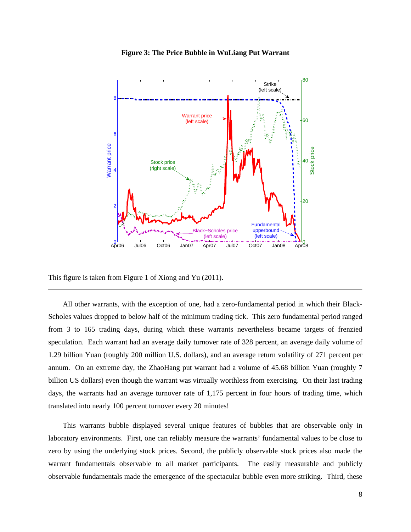

**Figure 3: The Price Bubble in WuLiang Put Warrant** 

This figure is taken from Figure 1 of Xiong and Yu (2011).

All other warrants, with the exception of one, had a zero-fundamental period in which their Black-Scholes values dropped to below half of the minimum trading tick. This zero fundamental period ranged from 3 to 165 trading days, during which these warrants nevertheless became targets of frenzied speculation. Each warrant had an average daily turnover rate of 328 percent, an average daily volume of 1.29 billion Yuan (roughly 200 million U.S. dollars), and an average return volatility of 271 percent per annum. On an extreme day, the ZhaoHang put warrant had a volume of 45.68 billion Yuan (roughly 7 billion US dollars) even though the warrant was virtually worthless from exercising. On their last trading days, the warrants had an average turnover rate of 1,175 percent in four hours of trading time, which translated into nearly 100 percent turnover every 20 minutes!

This warrants bubble displayed several unique features of bubbles that are observable only in laboratory environments. First, one can reliably measure the warrants' fundamental values to be close to zero by using the underlying stock prices. Second, the publicly observable stock prices also made the warrant fundamentals observable to all market participants. The easily measurable and publicly observable fundamentals made the emergence of the spectacular bubble even more striking. Third, these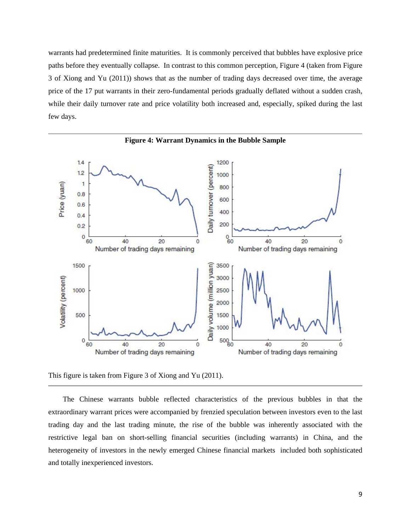warrants had predetermined finite maturities. It is commonly perceived that bubbles have explosive price paths before they eventually collapse. In contrast to this common perception, Figure 4 (taken from Figure 3 of Xiong and Yu (2011)) shows that as the number of trading days decreased over time, the average price of the 17 put warrants in their zero-fundamental periods gradually deflated without a sudden crash, while their daily turnover rate and price volatility both increased and, especially, spiked during the last few days.



**Figure 4: Warrant Dynamics in the Bubble Sample** 

This figure is taken from Figure 3 of Xiong and Yu (2011).

The Chinese warrants bubble reflected characteristics of the previous bubbles in that the extraordinary warrant prices were accompanied by frenzied speculation between investors even to the last trading day and the last trading minute, the rise of the bubble was inherently associated with the restrictive legal ban on short-selling financial securities (including warrants) in China, and the heterogeneity of investors in the newly emerged Chinese financial markets included both sophisticated and totally inexperienced investors.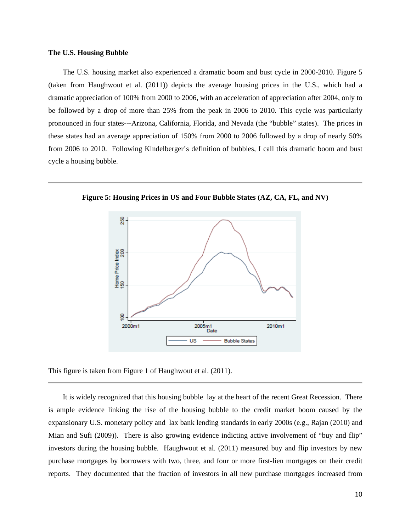#### **The U.S. Housing Bubble**

The U.S. housing market also experienced a dramatic boom and bust cycle in 2000-2010. Figure 5 (taken from Haughwout et al. (2011)) depicts the average housing prices in the U.S., which had a dramatic appreciation of 100% from 2000 to 2006, with an acceleration of appreciation after 2004, only to be followed by a drop of more than 25% from the peak in 2006 to 2010. This cycle was particularly pronounced in four states---Arizona, California, Florida, and Nevada (the "bubble" states). The prices in these states had an average appreciation of 150% from 2000 to 2006 followed by a drop of nearly 50% from 2006 to 2010. Following Kindelberger's definition of bubbles, I call this dramatic boom and bust cycle a housing bubble.



**Figure 5: Housing Prices in US and Four Bubble States (AZ, CA, FL, and NV)** 

This figure is taken from Figure 1 of Haughwout et al. (2011).

It is widely recognized that this housing bubble lay at the heart of the recent Great Recession. There is ample evidence linking the rise of the housing bubble to the credit market boom caused by the expansionary U.S. monetary policy and lax bank lending standards in early 2000s (e.g., Rajan (2010) and Mian and Sufi (2009)). There is also growing evidence indicting active involvement of "buy and flip" investors during the housing bubble. Haughwout et al. (2011) measured buy and flip investors by new purchase mortgages by borrowers with two, three, and four or more first-lien mortgages on their credit reports. They documented that the fraction of investors in all new purchase mortgages increased from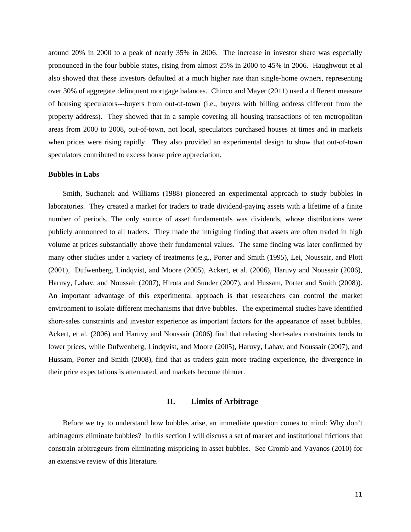around 20% in 2000 to a peak of nearly 35% in 2006. The increase in investor share was especially pronounced in the four bubble states, rising from almost 25% in 2000 to 45% in 2006. Haughwout et al also showed that these investors defaulted at a much higher rate than single-home owners, representing over 30% of aggregate delinquent mortgage balances. Chinco and Mayer (2011) used a different measure of housing speculators---buyers from out-of-town (i.e., buyers with billing address different from the property address). They showed that in a sample covering all housing transactions of ten metropolitan areas from 2000 to 2008, out-of-town, not local, speculators purchased houses at times and in markets when prices were rising rapidly. They also provided an experimental design to show that out-of-town speculators contributed to excess house price appreciation.

# **Bubbles in Labs**

Smith, Suchanek and Williams (1988) pioneered an experimental approach to study bubbles in laboratories. They created a market for traders to trade dividend-paying assets with a lifetime of a finite number of periods. The only source of asset fundamentals was dividends, whose distributions were publicly announced to all traders. They made the intriguing finding that assets are often traded in high volume at prices substantially above their fundamental values. The same finding was later confirmed by many other studies under a variety of treatments (e.g., Porter and Smith (1995), Lei, Noussair, and Plott (2001), Dufwenberg, Lindqvist, and Moore (2005), Ackert, et al. (2006), Haruvy and Noussair (2006), Haruvy, Lahav, and Noussair (2007), Hirota and Sunder (2007), and Hussam, Porter and Smith (2008)). An important advantage of this experimental approach is that researchers can control the market environment to isolate different mechanisms that drive bubbles. The experimental studies have identified short-sales constraints and investor experience as important factors for the appearance of asset bubbles. Ackert, et al. (2006) and Haruvy and Noussair (2006) find that relaxing short-sales constraints tends to lower prices, while Dufwenberg, Lindqvist, and Moore (2005), Haruvy, Lahav, and Noussair (2007), and Hussam, Porter and Smith (2008), find that as traders gain more trading experience, the divergence in their price expectations is attenuated, and markets become thinner.

### **II. Limits of Arbitrage**

Before we try to understand how bubbles arise, an immediate question comes to mind: Why don't arbitrageurs eliminate bubbles? In this section I will discuss a set of market and institutional frictions that constrain arbitrageurs from eliminating mispricing in asset bubbles. See Gromb and Vayanos (2010) for an extensive review of this literature.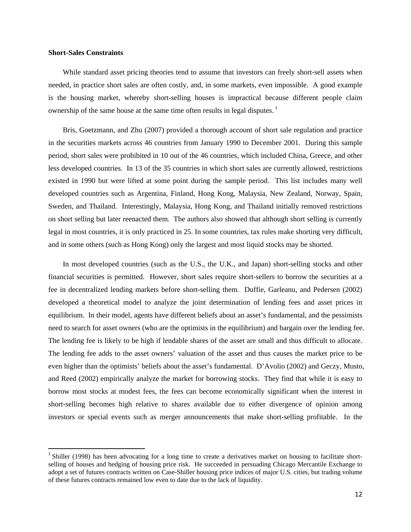### **Short-Sales Constraints**

While standard asset pricing theories tend to assume that investors can freely short-sell assets when needed, in practice short sales are often costly, and, in some markets, even impossible. A good example is the housing market, whereby short-selling houses is impractical because different people claim ownership of the same house at the same time often results in legal disputes.<sup>1</sup>

Bris, Goetzmann, and Zhu (2007) provided a thorough account of short sale regulation and practice in the securities markets across 46 countries from January 1990 to December 2001. During this sample period, short sales were prohibited in 10 out of the 46 countries, which included China, Greece, and other less developed countries. In 13 of the 35 countries in which short sales are currently allowed, restrictions existed in 1990 but were lifted at some point during the sample period. This list includes many well developed countries such as Argentina, Finland, Hong Kong, Malaysia, New Zealand, Norway, Spain, Sweden, and Thailand. Interestingly, Malaysia, Hong Kong, and Thailand initially removed restrictions on short selling but later reenacted them. The authors also showed that although short selling is currently legal in most countries, it is only practiced in 25. In some countries, tax rules make shorting very difficult, and in some others (such as Hong Kong) only the largest and most liquid stocks may be shorted.

In most developed countries (such as the U.S., the U.K., and Japan) short-selling stocks and other financial securities is permitted. However, short sales require short-sellers to borrow the securities at a fee in decentralized lending markets before short-selling them. Duffie, Garleanu, and Pedersen (2002) developed a theoretical model to analyze the joint determination of lending fees and asset prices in equilibrium. In their model, agents have different beliefs about an asset's fundamental, and the pessimists need to search for asset owners (who are the optimists in the equilibrium) and bargain over the lending fee. The lending fee is likely to be high if lendable shares of the asset are small and thus difficult to allocate. The lending fee adds to the asset owners' valuation of the asset and thus causes the market price to be even higher than the optimists' beliefs about the asset's fundamental. D'Avolio (2002) and Geczy, Musto, and Reed (2002) empirically analyze the market for borrowing stocks. They find that while it is easy to borrow most stocks at modest fees, the fees can become economically significant when the interest in short-selling becomes high relative to shares available due to either divergence of opinion among investors or special events such as merger announcements that make short-selling profitable. In the

<sup>&</sup>lt;sup>1</sup> Shiller (1998) has been advocating for a long time to create a derivatives market on housing to facilitate shortselling of houses and hedging of housing price risk. He succeeded in persuading Chicago Mercantile Exchange to adopt a set of futures contracts written on Case-Shiller housing price indices of major U.S. cities, but trading volume of these futures contracts remained low even to date due to the lack of liquidity.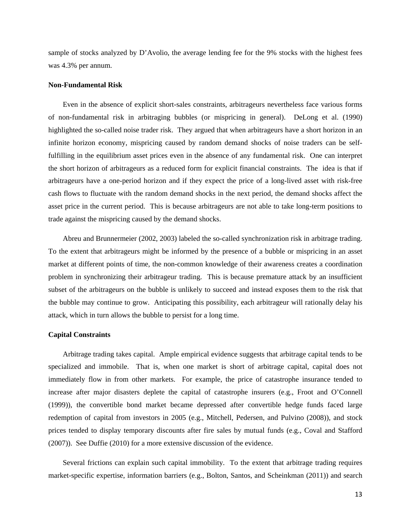sample of stocks analyzed by D'Avolio, the average lending fee for the 9% stocks with the highest fees was 4.3% per annum.

#### **Non-Fundamental Risk**

Even in the absence of explicit short-sales constraints, arbitrageurs nevertheless face various forms of non-fundamental risk in arbitraging bubbles (or mispricing in general). DeLong et al. (1990) highlighted the so-called noise trader risk. They argued that when arbitrageurs have a short horizon in an infinite horizon economy, mispricing caused by random demand shocks of noise traders can be selffulfilling in the equilibrium asset prices even in the absence of any fundamental risk. One can interpret the short horizon of arbitrageurs as a reduced form for explicit financial constraints. The idea is that if arbitrageurs have a one-period horizon and if they expect the price of a long-lived asset with risk-free cash flows to fluctuate with the random demand shocks in the next period, the demand shocks affect the asset price in the current period. This is because arbitrageurs are not able to take long-term positions to trade against the mispricing caused by the demand shocks.

Abreu and Brunnermeier (2002, 2003) labeled the so-called synchronization risk in arbitrage trading. To the extent that arbitrageurs might be informed by the presence of a bubble or mispricing in an asset market at different points of time, the non-common knowledge of their awareness creates a coordination problem in synchronizing their arbitrageur trading. This is because premature attack by an insufficient subset of the arbitrageurs on the bubble is unlikely to succeed and instead exposes them to the risk that the bubble may continue to grow. Anticipating this possibility, each arbitrageur will rationally delay his attack, which in turn allows the bubble to persist for a long time.

### **Capital Constraints**

Arbitrage trading takes capital. Ample empirical evidence suggests that arbitrage capital tends to be specialized and immobile. That is, when one market is short of arbitrage capital, capital does not immediately flow in from other markets. For example, the price of catastrophe insurance tended to increase after major disasters deplete the capital of catastrophe insurers (e.g., Froot and O'Connell (1999)), the convertible bond market became depressed after convertible hedge funds faced large redemption of capital from investors in 2005 (e.g., Mitchell, Pedersen, and Pulvino (2008)), and stock prices tended to display temporary discounts after fire sales by mutual funds (e.g., Coval and Stafford (2007)). See Duffie (2010) for a more extensive discussion of the evidence.

Several frictions can explain such capital immobility. To the extent that arbitrage trading requires market-specific expertise, information barriers (e.g., Bolton, Santos, and Scheinkman (2011)) and search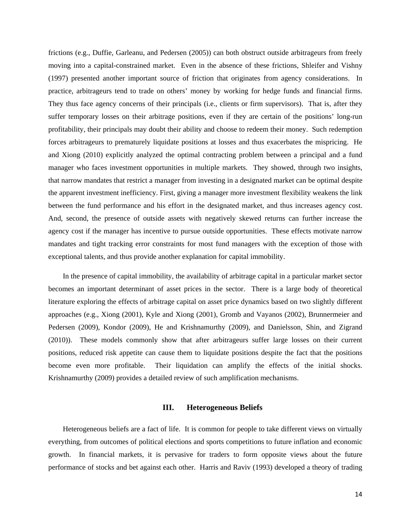frictions (e.g., Duffie, Garleanu, and Pedersen (2005)) can both obstruct outside arbitrageurs from freely moving into a capital-constrained market. Even in the absence of these frictions, Shleifer and Vishny (1997) presented another important source of friction that originates from agency considerations. In practice, arbitrageurs tend to trade on others' money by working for hedge funds and financial firms. They thus face agency concerns of their principals (i.e., clients or firm supervisors). That is, after they suffer temporary losses on their arbitrage positions, even if they are certain of the positions' long-run profitability, their principals may doubt their ability and choose to redeem their money. Such redemption forces arbitrageurs to prematurely liquidate positions at losses and thus exacerbates the mispricing. He and Xiong (2010) explicitly analyzed the optimal contracting problem between a principal and a fund manager who faces investment opportunities in multiple markets. They showed, through two insights, that narrow mandates that restrict a manager from investing in a designated market can be optimal despite the apparent investment inefficiency. First, giving a manager more investment flexibility weakens the link between the fund performance and his effort in the designated market, and thus increases agency cost. And, second, the presence of outside assets with negatively skewed returns can further increase the agency cost if the manager has incentive to pursue outside opportunities. These effects motivate narrow mandates and tight tracking error constraints for most fund managers with the exception of those with exceptional talents, and thus provide another explanation for capital immobility.

In the presence of capital immobility, the availability of arbitrage capital in a particular market sector becomes an important determinant of asset prices in the sector. There is a large body of theoretical literature exploring the effects of arbitrage capital on asset price dynamics based on two slightly different approaches (e.g., Xiong (2001), Kyle and Xiong (2001), Gromb and Vayanos (2002), Brunnermeier and Pedersen (2009), Kondor (2009), He and Krishnamurthy (2009), and Danielsson, Shin, and Zigrand (2010)). These models commonly show that after arbitrageurs suffer large losses on their current positions, reduced risk appetite can cause them to liquidate positions despite the fact that the positions become even more profitable. Their liquidation can amplify the effects of the initial shocks. Krishnamurthy (2009) provides a detailed review of such amplification mechanisms.

### **III. Heterogeneous Beliefs**

Heterogeneous beliefs are a fact of life. It is common for people to take different views on virtually everything, from outcomes of political elections and sports competitions to future inflation and economic growth. In financial markets, it is pervasive for traders to form opposite views about the future performance of stocks and bet against each other. Harris and Raviv (1993) developed a theory of trading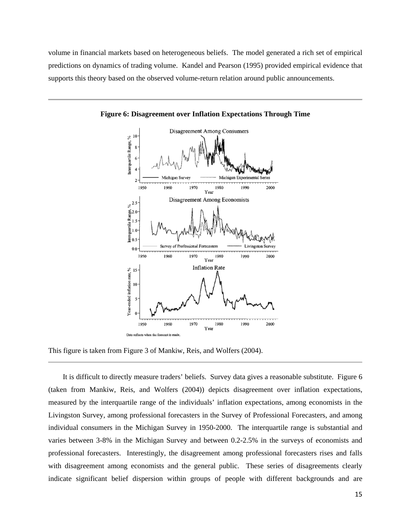volume in financial markets based on heterogeneous beliefs. The model generated a rich set of empirical predictions on dynamics of trading volume. Kandel and Pearson (1995) provided empirical evidence that supports this theory based on the observed volume-return relation around public announcements.



**Figure 6: Disagreement over Inflation Expectations Through Time** 

This figure is taken from Figure 3 of Mankiw, Reis, and Wolfers (2004).

It is difficult to directly measure traders' beliefs. Survey data gives a reasonable substitute. Figure 6 (taken from Mankiw, Reis, and Wolfers (2004)) depicts disagreement over inflation expectations, measured by the interquartile range of the individuals' inflation expectations, among economists in the Livingston Survey, among professional forecasters in the Survey of Professional Forecasters, and among individual consumers in the Michigan Survey in 1950-2000. The interquartile range is substantial and varies between 3-8% in the Michigan Survey and between 0.2-2.5% in the surveys of economists and professional forecasters. Interestingly, the disagreement among professional forecasters rises and falls with disagreement among economists and the general public. These series of disagreements clearly indicate significant belief dispersion within groups of people with different backgrounds and are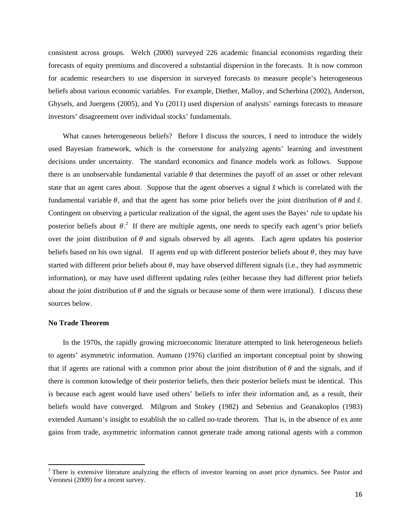consistent across groups. Welch (2000) surveyed 226 academic financial economists regarding their forecasts of equity premiums and discovered a substantial dispersion in the forecasts. It is now common for academic researchers to use dispersion in surveyed forecasts to measure people's heterogeneous beliefs about various economic variables. For example, Diether, Malloy, and Scherbina (2002), Anderson, Ghysels, and Juergens (2005), and Yu (2011) used dispersion of analysts' earnings forecasts to measure investors' disagreement over individual stocks' fundamentals.

What causes heterogeneous beliefs? Before I discuss the sources, I need to introduce the widely used Bayesian framework, which is the cornerstone for analyzing agents' learning and investment decisions under uncertainty. The standard economics and finance models work as follows. Suppose there is an unobservable fundamental variable  $\theta$  that determines the payoff of an asset or other relevant state that an agent cares about. Suppose that the agent observes a signal  $\tilde{s}$  which is correlated with the fundamental variable  $\theta$ , and that the agent has some prior beliefs over the joint distribution of  $\theta$  and  $\tilde{s}$ . Contingent on observing a particular realization of the signal, the agent uses the Bayes' rule to update his posterior beliefs about  $\theta$ .<sup>2</sup> If there are multiple agents, one needs to specify each agent's prior beliefs over the joint distribution of  $\theta$  and signals observed by all agents. Each agent updates his posterior beliefs based on his own signal. If agents end up with different posterior beliefs about  $\theta$ , they may have started with different prior beliefs about  $\theta$ , may have observed different signals (i.e., they had asymmetric information), or may have used different updating rules (either because they had different prior beliefs about the joint distribution of  $\theta$  and the signals or because some of them were irrational). I discuss these sources below.

### **No Trade Theorem**

In the 1970s, the rapidly growing microeconomic literature attempted to link heterogeneous beliefs to agents' asymmetric information. Aumann (1976) clarified an important conceptual point by showing that if agents are rational with a common prior about the joint distribution of  $\theta$  and the signals, and if there is common knowledge of their posterior beliefs, then their posterior beliefs must be identical. This is because each agent would have used others' beliefs to infer their information and, as a result, their beliefs would have converged. Milgrom and Stokey (1982) and Sebenius and Geanakoplos (1983) extended Aumann's insight to establish the so called no-trade theorem. That is, in the absence of ex ante gains from trade, asymmetric information cannot generate trade among rational agents with a common

 $2$  There is extensive literature analyzing the effects of investor learning on asset price dynamics. See Pastor and Veronesi (2009) for a recent survey.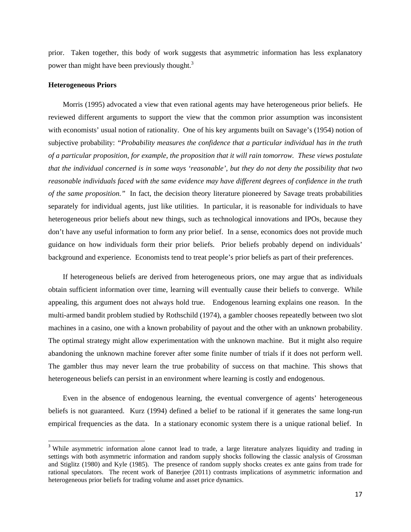prior. Taken together, this body of work suggests that asymmetric information has less explanatory power than might have been previously thought.<sup>3</sup>

#### **Heterogeneous Priors**

Morris (1995) advocated a view that even rational agents may have heterogeneous prior beliefs. He reviewed different arguments to support the view that the common prior assumption was inconsistent with economists' usual notion of rationality. One of his key arguments built on Savage's (1954) notion of subjective probability: *"Probability measures the confidence that a particular individual has in the truth of a particular proposition, for example, the proposition that it will rain tomorrow. These views postulate that the individual concerned is in some ways 'reasonable', but they do not deny the possibility that two reasonable individuals faced with the same evidence may have different degrees of confidence in the truth of the same proposition."* In fact, the decision theory literature pioneered by Savage treats probabilities separately for individual agents, just like utilities. In particular, it is reasonable for individuals to have heterogeneous prior beliefs about new things, such as technological innovations and IPOs, because they don't have any useful information to form any prior belief. In a sense, economics does not provide much guidance on how individuals form their prior beliefs. Prior beliefs probably depend on individuals' background and experience. Economists tend to treat people's prior beliefs as part of their preferences.

If heterogeneous beliefs are derived from heterogeneous priors, one may argue that as individuals obtain sufficient information over time, learning will eventually cause their beliefs to converge. While appealing, this argument does not always hold true. Endogenous learning explains one reason. In the multi-armed bandit problem studied by Rothschild (1974), a gambler chooses repeatedly between two slot machines in a casino, one with a known probability of payout and the other with an unknown probability. The optimal strategy might allow experimentation with the unknown machine. But it might also require abandoning the unknown machine forever after some finite number of trials if it does not perform well. The gambler thus may never learn the true probability of success on that machine. This shows that heterogeneous beliefs can persist in an environment where learning is costly and endogenous.

Even in the absence of endogenous learning, the eventual convergence of agents' heterogeneous beliefs is not guaranteed. Kurz (1994) defined a belief to be rational if it generates the same long-run empirical frequencies as the data. In a stationary economic system there is a unique rational belief. In

<sup>&</sup>lt;sup>3</sup> While asymmetric information alone cannot lead to trade, a large literature analyzes liquidity and trading in settings with both asymmetric information and random supply shocks following the classic analysis of Grossman and Stiglitz (1980) and Kyle (1985). The presence of random supply shocks creates ex ante gains from trade for rational speculators. The recent work of Banerjee (2011) contrasts implications of asymmetric information and heterogeneous prior beliefs for trading volume and asset price dynamics.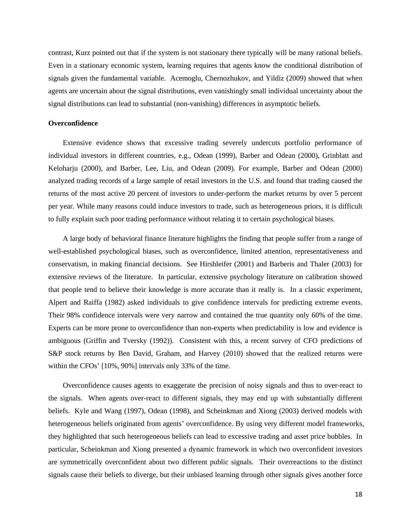contrast, Kurz pointed out that if the system is not stationary there typically will be many rational beliefs. Even in a stationary economic system, learning requires that agents know the conditional distribution of signals given the fundamental variable. Acemoglu, Chernozhukov, and Yildiz (2009) showed that when agents are uncertain about the signal distributions, even vanishingly small individual uncertainty about the signal distributions can lead to substantial (non-vanishing) differences in asymptotic beliefs.

# **Overconfidence**

Extensive evidence shows that excessive trading severely undercuts portfolio performance of individual investors in different countries, e.g., Odean (1999), Barber and Odean (2000), Grinblatt and Keloharju (2000), and Barber, Lee, Liu, and Odean (2009). For example, Barber and Odean (2000) analyzed trading records of a large sample of retail investors in the U.S. and found that trading caused the returns of the most active 20 percent of investors to under-perform the market returns by over 5 percent per year. While many reasons could induce investors to trade, such as heterogeneous priors, it is difficult to fully explain such poor trading performance without relating it to certain psychological biases.

A large body of behavioral finance literature highlights the finding that people suffer from a range of well-established psychological biases, such as overconfidence, limited attention, representativeness and conservatism, in making financial decisions. See Hirshleifer (2001) and Barberis and Thaler (2003) for extensive reviews of the literature. In particular, extensive psychology literature on calibration showed that people tend to believe their knowledge is more accurate than it really is. In a classic experiment, Alpert and Raiffa (1982) asked individuals to give confidence intervals for predicting extreme events. Their 98% confidence intervals were very narrow and contained the true quantity only 60% of the time. Experts can be more prone to overconfidence than non-experts when predictability is low and evidence is ambiguous (Griffin and Tversky (1992)). Consistent with this, a recent survey of CFO predictions of S&P stock returns by Ben David, Graham, and Harvey (2010) showed that the realized returns were within the CFOs' [10%, 90%] intervals only 33% of the time.

Overconfidence causes agents to exaggerate the precision of noisy signals and thus to over-react to the signals. When agents over-react to different signals, they may end up with substantially different beliefs. Kyle and Wang (1997), Odean (1998), and Scheinkman and Xiong (2003) derived models with heterogeneous beliefs originated from agents' overconfidence. By using very different model frameworks, they highlighted that such heterogeneous beliefs can lead to excessive trading and asset price bubbles. In particular, Scheinkman and Xiong presented a dynamic framework in which two overconfident investors are symmetrically overconfident about two different public signals. Their overreactions to the distinct signals cause their beliefs to diverge, but their unbiased learning through other signals gives another force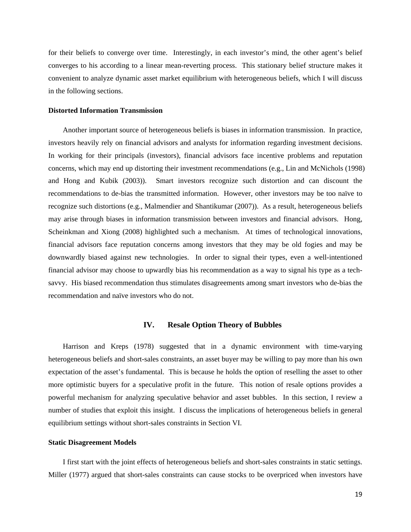for their beliefs to converge over time. Interestingly, in each investor's mind, the other agent's belief converges to his according to a linear mean-reverting process. This stationary belief structure makes it convenient to analyze dynamic asset market equilibrium with heterogeneous beliefs, which I will discuss in the following sections.

# **Distorted Information Transmission**

Another important source of heterogeneous beliefs is biases in information transmission. In practice, investors heavily rely on financial advisors and analysts for information regarding investment decisions. In working for their principals (investors), financial advisors face incentive problems and reputation concerns, which may end up distorting their investment recommendations (e.g., Lin and McNichols (1998) and Hong and Kubik (2003)). Smart investors recognize such distortion and can discount the recommendations to de-bias the transmitted information. However, other investors may be too naïve to recognize such distortions (e.g., Malmendier and Shantikumar (2007)). As a result, heterogeneous beliefs may arise through biases in information transmission between investors and financial advisors. Hong, Scheinkman and Xiong (2008) highlighted such a mechanism. At times of technological innovations, financial advisors face reputation concerns among investors that they may be old fogies and may be downwardly biased against new technologies. In order to signal their types, even a well-intentioned financial advisor may choose to upwardly bias his recommendation as a way to signal his type as a techsavvy. His biased recommendation thus stimulates disagreements among smart investors who de-bias the recommendation and naïve investors who do not.

# **IV. Resale Option Theory of Bubbles**

Harrison and Kreps (1978) suggested that in a dynamic environment with time-varying heterogeneous beliefs and short-sales constraints, an asset buyer may be willing to pay more than his own expectation of the asset's fundamental. This is because he holds the option of reselling the asset to other more optimistic buyers for a speculative profit in the future. This notion of resale options provides a powerful mechanism for analyzing speculative behavior and asset bubbles. In this section, I review a number of studies that exploit this insight. I discuss the implications of heterogeneous beliefs in general equilibrium settings without short-sales constraints in Section VI.

### **Static Disagreement Models**

I first start with the joint effects of heterogeneous beliefs and short-sales constraints in static settings. Miller (1977) argued that short-sales constraints can cause stocks to be overpriced when investors have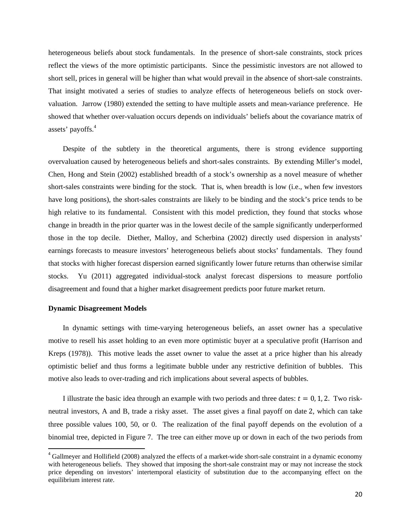heterogeneous beliefs about stock fundamentals. In the presence of short-sale constraints, stock prices reflect the views of the more optimistic participants. Since the pessimistic investors are not allowed to short sell, prices in general will be higher than what would prevail in the absence of short-sale constraints. That insight motivated a series of studies to analyze effects of heterogeneous beliefs on stock overvaluation. Jarrow (1980) extended the setting to have multiple assets and mean-variance preference. He showed that whether over-valuation occurs depends on individuals' beliefs about the covariance matrix of assets' payoffs.<sup>4</sup>

Despite of the subtlety in the theoretical arguments, there is strong evidence supporting overvaluation caused by heterogeneous beliefs and short-sales constraints. By extending Miller's model, Chen, Hong and Stein (2002) established breadth of a stock's ownership as a novel measure of whether short-sales constraints were binding for the stock. That is, when breadth is low (i.e., when few investors have long positions), the short-sales constraints are likely to be binding and the stock's price tends to be high relative to its fundamental. Consistent with this model prediction, they found that stocks whose change in breadth in the prior quarter was in the lowest decile of the sample significantly underperformed those in the top decile. Diether, Malloy, and Scherbina (2002) directly used dispersion in analysts' earnings forecasts to measure investors' heterogeneous beliefs about stocks' fundamentals. They found that stocks with higher forecast dispersion earned significantly lower future returns than otherwise similar stocks. Yu (2011) aggregated individual-stock analyst forecast dispersions to measure portfolio disagreement and found that a higher market disagreement predicts poor future market return.

# **Dynamic Disagreement Models**

In dynamic settings with time-varying heterogeneous beliefs, an asset owner has a speculative motive to resell his asset holding to an even more optimistic buyer at a speculative profit (Harrison and Kreps (1978)). This motive leads the asset owner to value the asset at a price higher than his already optimistic belief and thus forms a legitimate bubble under any restrictive definition of bubbles. This motive also leads to over-trading and rich implications about several aspects of bubbles.

I illustrate the basic idea through an example with two periods and three dates:  $t = 0, 1, 2$ . Two riskneutral investors, A and B, trade a risky asset. The asset gives a final payoff on date 2, which can take three possible values 100, 50, or 0. The realization of the final payoff depends on the evolution of a binomial tree, depicted in Figure 7. The tree can either move up or down in each of the two periods from

<sup>&</sup>lt;sup>4</sup> Gallmeyer and Hollifield (2008) analyzed the effects of a market-wide short-sale constraint in a dynamic economy with heterogeneous beliefs. They showed that imposing the short-sale constraint may or may not increase the stock price depending on investors' intertemporal elasticity of substitution due to the accompanying effect on the equilibrium interest rate.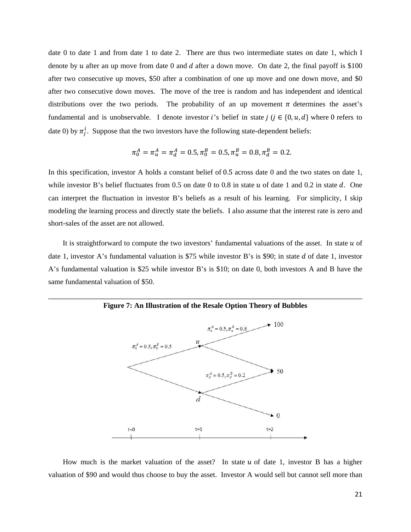date 0 to date 1 and from date 1 to date 2. There are thus two intermediate states on date 1, which I denote by u after an up move from date 0 and  $d$  after a down move. On date 2, the final payoff is \$100 after two consecutive up moves, \$50 after a combination of one up move and one down move, and \$0 after two consecutive down moves. The move of the tree is random and has independent and identical distributions over the two periods. The probability of an up movement  $\pi$  determines the asset's fundamental and is unobservable. I denote investor *i*'s belief in state  $j$  ( $j \in \{0, u, d\}$  where 0 refers to date 0) by  $\pi_j^i$ . Suppose that the two investors have the following state-dependent beliefs:

$$
\pi_0^A = \pi_u^A = \pi_d^A = 0.5, \pi_0^B = 0.5, \pi_u^B = 0.8, \pi_d^B = 0.2.
$$

In this specification, investor A holds a constant belief of 0.5 across date 0 and the two states on date 1, while investor B's belief fluctuates from  $0.5$  on date  $0$  to  $0.8$  in state  $u$  of date 1 and  $0.2$  in state  $d$ . One can interpret the fluctuation in investor B's beliefs as a result of his learning. For simplicity, I skip modeling the learning process and directly state the beliefs. I also assume that the interest rate is zero and short-sales of the asset are not allowed.

It is straightforward to compute the two investors' fundamental valuations of the asset. In state  $u$  of date 1, investor A's fundamental valuation is \$75 while investor B's is \$90; in state  $d$  of date 1, investor A's fundamental valuation is \$25 while investor B's is \$10; on date 0, both investors A and B have the same fundamental valuation of \$50.



**Figure 7: An Illustration of the Resale Option Theory of Bubbles** 

How much is the market valuation of the asset? In state  $u$  of date 1, investor B has a higher valuation of \$90 and would thus choose to buy the asset. Investor A would sell but cannot sell more than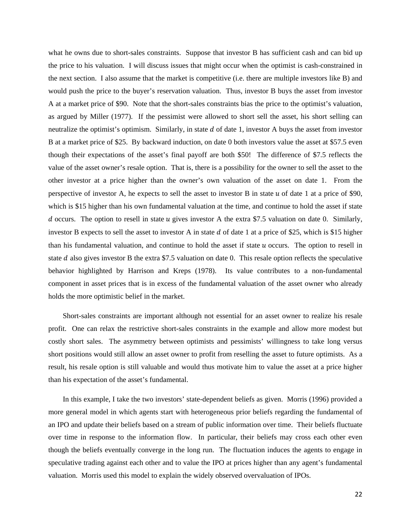what he owns due to short-sales constraints. Suppose that investor B has sufficient cash and can bid up the price to his valuation. I will discuss issues that might occur when the optimist is cash-constrained in the next section. I also assume that the market is competitive (i.e. there are multiple investors like B) and would push the price to the buyer's reservation valuation. Thus, investor B buys the asset from investor A at a market price of \$90. Note that the short-sales constraints bias the price to the optimist's valuation, as argued by Miller (1977). If the pessimist were allowed to short sell the asset, his short selling can neutralize the optimist's optimism. Similarly, in state  $d$  of date 1, investor A buys the asset from investor B at a market price of \$25. By backward induction, on date 0 both investors value the asset at \$57.5 even though their expectations of the asset's final payoff are both \$50! The difference of \$7.5 reflects the value of the asset owner's resale option. That is, there is a possibility for the owner to sell the asset to the other investor at a price higher than the owner's own valuation of the asset on date 1. From the perspective of investor A, he expects to sell the asset to investor B in state  $u$  of date 1 at a price of \$90, which is \$15 higher than his own fundamental valuation at the time, and continue to hold the asset if state d occurs. The option to resell in state  $u$  gives investor A the extra \$7.5 valuation on date 0. Similarly, investor B expects to sell the asset to investor A in state d of date 1 at a price of \$25, which is \$15 higher than his fundamental valuation, and continue to hold the asset if state  $u$  occurs. The option to resell in state  $d$  also gives investor B the extra \$7.5 valuation on date 0. This resale option reflects the speculative behavior highlighted by Harrison and Kreps (1978). Its value contributes to a non-fundamental component in asset prices that is in excess of the fundamental valuation of the asset owner who already holds the more optimistic belief in the market.

Short-sales constraints are important although not essential for an asset owner to realize his resale profit. One can relax the restrictive short-sales constraints in the example and allow more modest but costly short sales. The asymmetry between optimists and pessimists' willingness to take long versus short positions would still allow an asset owner to profit from reselling the asset to future optimists. As a result, his resale option is still valuable and would thus motivate him to value the asset at a price higher than his expectation of the asset's fundamental.

In this example, I take the two investors' state-dependent beliefs as given. Morris (1996) provided a more general model in which agents start with heterogeneous prior beliefs regarding the fundamental of an IPO and update their beliefs based on a stream of public information over time. Their beliefs fluctuate over time in response to the information flow. In particular, their beliefs may cross each other even though the beliefs eventually converge in the long run. The fluctuation induces the agents to engage in speculative trading against each other and to value the IPO at prices higher than any agent's fundamental valuation. Morris used this model to explain the widely observed overvaluation of IPOs.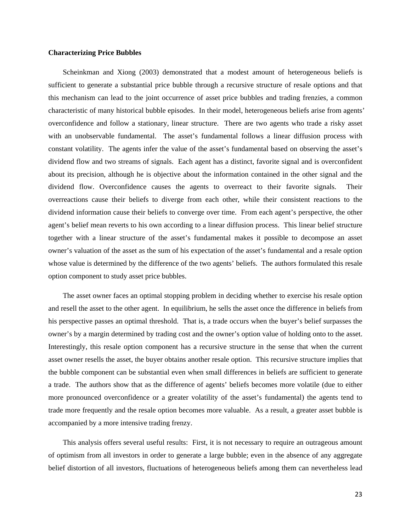#### **Characterizing Price Bubbles**

Scheinkman and Xiong (2003) demonstrated that a modest amount of heterogeneous beliefs is sufficient to generate a substantial price bubble through a recursive structure of resale options and that this mechanism can lead to the joint occurrence of asset price bubbles and trading frenzies, a common characteristic of many historical bubble episodes. In their model, heterogeneous beliefs arise from agents' overconfidence and follow a stationary, linear structure. There are two agents who trade a risky asset with an unobservable fundamental. The asset's fundamental follows a linear diffusion process with constant volatility. The agents infer the value of the asset's fundamental based on observing the asset's dividend flow and two streams of signals. Each agent has a distinct, favorite signal and is overconfident about its precision, although he is objective about the information contained in the other signal and the dividend flow. Overconfidence causes the agents to overreact to their favorite signals. Their overreactions cause their beliefs to diverge from each other, while their consistent reactions to the dividend information cause their beliefs to converge over time. From each agent's perspective, the other agent's belief mean reverts to his own according to a linear diffusion process. This linear belief structure together with a linear structure of the asset's fundamental makes it possible to decompose an asset owner's valuation of the asset as the sum of his expectation of the asset's fundamental and a resale option whose value is determined by the difference of the two agents' beliefs. The authors formulated this resale option component to study asset price bubbles.

The asset owner faces an optimal stopping problem in deciding whether to exercise his resale option and resell the asset to the other agent. In equilibrium, he sells the asset once the difference in beliefs from his perspective passes an optimal threshold. That is, a trade occurs when the buyer's belief surpasses the owner's by a margin determined by trading cost and the owner's option value of holding onto to the asset. Interestingly, this resale option component has a recursive structure in the sense that when the current asset owner resells the asset, the buyer obtains another resale option. This recursive structure implies that the bubble component can be substantial even when small differences in beliefs are sufficient to generate a trade. The authors show that as the difference of agents' beliefs becomes more volatile (due to either more pronounced overconfidence or a greater volatility of the asset's fundamental) the agents tend to trade more frequently and the resale option becomes more valuable. As a result, a greater asset bubble is accompanied by a more intensive trading frenzy.

This analysis offers several useful results: First, it is not necessary to require an outrageous amount of optimism from all investors in order to generate a large bubble; even in the absence of any aggregate belief distortion of all investors, fluctuations of heterogeneous beliefs among them can nevertheless lead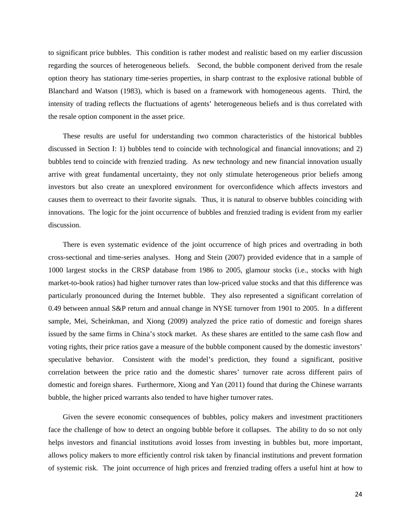to significant price bubbles. This condition is rather modest and realistic based on my earlier discussion regarding the sources of heterogeneous beliefs. Second, the bubble component derived from the resale option theory has stationary time-series properties, in sharp contrast to the explosive rational bubble of Blanchard and Watson (1983), which is based on a framework with homogeneous agents. Third, the intensity of trading reflects the fluctuations of agents' heterogeneous beliefs and is thus correlated with the resale option component in the asset price.

These results are useful for understanding two common characteristics of the historical bubbles discussed in Section I: 1) bubbles tend to coincide with technological and financial innovations; and 2) bubbles tend to coincide with frenzied trading. As new technology and new financial innovation usually arrive with great fundamental uncertainty, they not only stimulate heterogeneous prior beliefs among investors but also create an unexplored environment for overconfidence which affects investors and causes them to overreact to their favorite signals. Thus, it is natural to observe bubbles coinciding with innovations. The logic for the joint occurrence of bubbles and frenzied trading is evident from my earlier discussion.

There is even systematic evidence of the joint occurrence of high prices and overtrading in both cross-sectional and time-series analyses. Hong and Stein (2007) provided evidence that in a sample of 1000 largest stocks in the CRSP database from 1986 to 2005, glamour stocks (i.e., stocks with high market-to-book ratios) had higher turnover rates than low-priced value stocks and that this difference was particularly pronounced during the Internet bubble. They also represented a significant correlation of 0.49 between annual S&P return and annual change in NYSE turnover from 1901 to 2005. In a different sample, Mei, Scheinkman, and Xiong (2009) analyzed the price ratio of domestic and foreign shares issued by the same firms in China's stock market. As these shares are entitled to the same cash flow and voting rights, their price ratios gave a measure of the bubble component caused by the domestic investors' speculative behavior. Consistent with the model's prediction, they found a significant, positive correlation between the price ratio and the domestic shares' turnover rate across different pairs of domestic and foreign shares. Furthermore, Xiong and Yan (2011) found that during the Chinese warrants bubble, the higher priced warrants also tended to have higher turnover rates.

Given the severe economic consequences of bubbles, policy makers and investment practitioners face the challenge of how to detect an ongoing bubble before it collapses. The ability to do so not only helps investors and financial institutions avoid losses from investing in bubbles but, more important, allows policy makers to more efficiently control risk taken by financial institutions and prevent formation of systemic risk. The joint occurrence of high prices and frenzied trading offers a useful hint at how to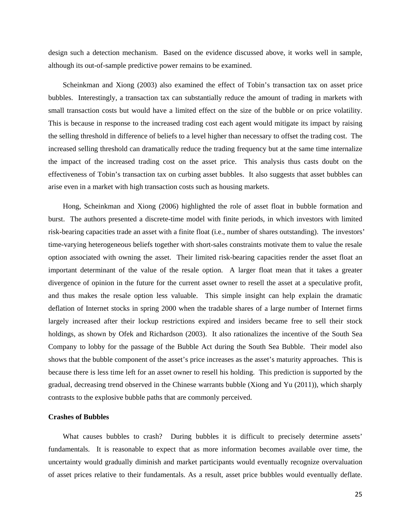design such a detection mechanism. Based on the evidence discussed above, it works well in sample, although its out-of-sample predictive power remains to be examined.

Scheinkman and Xiong (2003) also examined the effect of Tobin's transaction tax on asset price bubbles. Interestingly, a transaction tax can substantially reduce the amount of trading in markets with small transaction costs but would have a limited effect on the size of the bubble or on price volatility. This is because in response to the increased trading cost each agent would mitigate its impact by raising the selling threshold in difference of beliefs to a level higher than necessary to offset the trading cost. The increased selling threshold can dramatically reduce the trading frequency but at the same time internalize the impact of the increased trading cost on the asset price. This analysis thus casts doubt on the effectiveness of Tobin's transaction tax on curbing asset bubbles. It also suggests that asset bubbles can arise even in a market with high transaction costs such as housing markets.

Hong, Scheinkman and Xiong (2006) highlighted the role of asset float in bubble formation and burst. The authors presented a discrete-time model with finite periods, in which investors with limited risk-bearing capacities trade an asset with a finite float (i.e., number of shares outstanding). The investors' time-varying heterogeneous beliefs together with short-sales constraints motivate them to value the resale option associated with owning the asset. Their limited risk-bearing capacities render the asset float an important determinant of the value of the resale option. A larger float mean that it takes a greater divergence of opinion in the future for the current asset owner to resell the asset at a speculative profit, and thus makes the resale option less valuable. This simple insight can help explain the dramatic deflation of Internet stocks in spring 2000 when the tradable shares of a large number of Internet firms largely increased after their lockup restrictions expired and insiders became free to sell their stock holdings, as shown by Ofek and Richardson (2003). It also rationalizes the incentive of the South Sea Company to lobby for the passage of the Bubble Act during the South Sea Bubble. Their model also shows that the bubble component of the asset's price increases as the asset's maturity approaches. This is because there is less time left for an asset owner to resell his holding. This prediction is supported by the gradual, decreasing trend observed in the Chinese warrants bubble (Xiong and Yu (2011)), which sharply contrasts to the explosive bubble paths that are commonly perceived.

# **Crashes of Bubbles**

What causes bubbles to crash? During bubbles it is difficult to precisely determine assets' fundamentals. It is reasonable to expect that as more information becomes available over time, the uncertainty would gradually diminish and market participants would eventually recognize overvaluation of asset prices relative to their fundamentals. As a result, asset price bubbles would eventually deflate.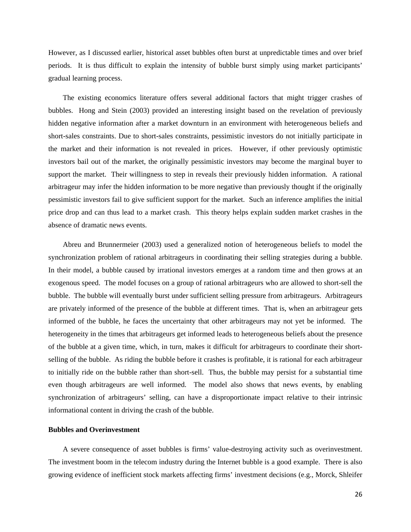However, as I discussed earlier, historical asset bubbles often burst at unpredictable times and over brief periods. It is thus difficult to explain the intensity of bubble burst simply using market participants' gradual learning process.

The existing economics literature offers several additional factors that might trigger crashes of bubbles. Hong and Stein (2003) provided an interesting insight based on the revelation of previously hidden negative information after a market downturn in an environment with heterogeneous beliefs and short-sales constraints. Due to short-sales constraints, pessimistic investors do not initially participate in the market and their information is not revealed in prices. However, if other previously optimistic investors bail out of the market, the originally pessimistic investors may become the marginal buyer to support the market. Their willingness to step in reveals their previously hidden information. A rational arbitrageur may infer the hidden information to be more negative than previously thought if the originally pessimistic investors fail to give sufficient support for the market. Such an inference amplifies the initial price drop and can thus lead to a market crash. This theory helps explain sudden market crashes in the absence of dramatic news events.

Abreu and Brunnermeier (2003) used a generalized notion of heterogeneous beliefs to model the synchronization problem of rational arbitrageurs in coordinating their selling strategies during a bubble. In their model, a bubble caused by irrational investors emerges at a random time and then grows at an exogenous speed. The model focuses on a group of rational arbitrageurs who are allowed to short-sell the bubble. The bubble will eventually burst under sufficient selling pressure from arbitrageurs. Arbitrageurs are privately informed of the presence of the bubble at different times. That is, when an arbitrageur gets informed of the bubble, he faces the uncertainty that other arbitrageurs may not yet be informed. The heterogeneity in the times that arbitrageurs get informed leads to heterogeneous beliefs about the presence of the bubble at a given time, which, in turn, makes it difficult for arbitrageurs to coordinate their shortselling of the bubble. As riding the bubble before it crashes is profitable, it is rational for each arbitrageur to initially ride on the bubble rather than short-sell. Thus, the bubble may persist for a substantial time even though arbitrageurs are well informed. The model also shows that news events, by enabling synchronization of arbitrageurs' selling, can have a disproportionate impact relative to their intrinsic informational content in driving the crash of the bubble.

# **Bubbles and Overinvestment**

A severe consequence of asset bubbles is firms' value-destroying activity such as overinvestment. The investment boom in the telecom industry during the Internet bubble is a good example. There is also growing evidence of inefficient stock markets affecting firms' investment decisions (e.g., Morck, Shleifer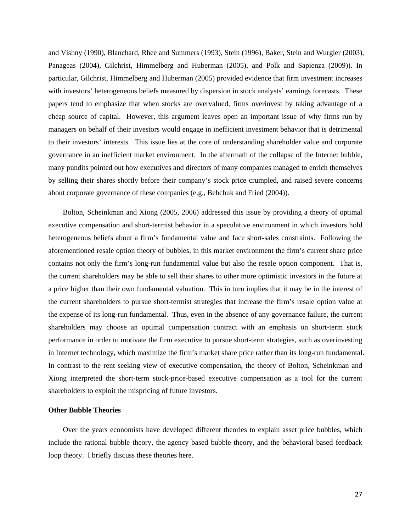and Vishny (1990), Blanchard, Rhee and Summers (1993), Stein (1996), Baker, Stein and Wurgler (2003), Panageas (2004), Gilchrist, Himmelberg and Huberman (2005), and Polk and Sapienza (2009)). In particular, Gilchrist, Himmelberg and Huberman (2005) provided evidence that firm investment increases with investors' heterogeneous beliefs measured by dispersion in stock analysts' earnings forecasts. These papers tend to emphasize that when stocks are overvalued, firms overinvest by taking advantage of a cheap source of capital. However, this argument leaves open an important issue of why firms run by managers on behalf of their investors would engage in inefficient investment behavior that is detrimental to their investors' interests. This issue lies at the core of understanding shareholder value and corporate governance in an inefficient market environment. In the aftermath of the collapse of the Internet bubble, many pundits pointed out how executives and directors of many companies managed to enrich themselves by selling their shares shortly before their company's stock price crumpled, and raised severe concerns about corporate governance of these companies (e.g., Bebchuk and Fried (2004)).

Bolton, Scheinkman and Xiong (2005, 2006) addressed this issue by providing a theory of optimal executive compensation and short-termist behavior in a speculative environment in which investors hold heterogeneous beliefs about a firm's fundamental value and face short-sales constraints. Following the aforementioned resale option theory of bubbles, in this market environment the firm's current share price contains not only the firm's long-run fundamental value but also the resale option component. That is, the current shareholders may be able to sell their shares to other more optimistic investors in the future at a price higher than their own fundamental valuation. This in turn implies that it may be in the interest of the current shareholders to pursue short-termist strategies that increase the firm's resale option value at the expense of its long-run fundamental. Thus, even in the absence of any governance failure, the current shareholders may choose an optimal compensation contract with an emphasis on short-term stock performance in order to motivate the firm executive to pursue short-term strategies, such as overinvesting in Internet technology, which maximize the firm's market share price rather than its long-run fundamental. In contrast to the rent seeking view of executive compensation, the theory of Bolton, Scheinkman and Xiong interpreted the short-term stock-price-based executive compensation as a tool for the current shareholders to exploit the mispricing of future investors.

# **Other Bubble Theories**

Over the years economists have developed different theories to explain asset price bubbles, which include the rational bubble theory, the agency based bubble theory, and the behavioral based feedback loop theory. I briefly discuss these theories here.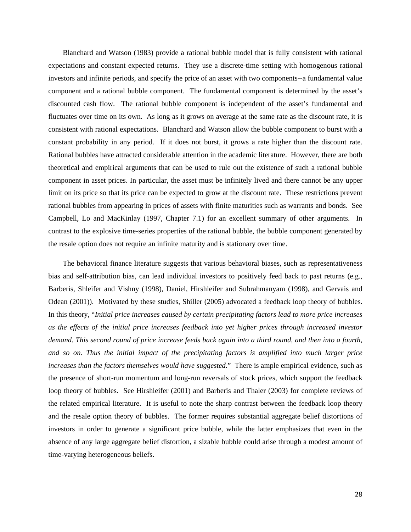Blanchard and Watson (1983) provide a rational bubble model that is fully consistent with rational expectations and constant expected returns. They use a discrete-time setting with homogenous rational investors and infinite periods, and specify the price of an asset with two components--a fundamental value component and a rational bubble component. The fundamental component is determined by the asset's discounted cash flow. The rational bubble component is independent of the asset's fundamental and fluctuates over time on its own. As long as it grows on average at the same rate as the discount rate, it is consistent with rational expectations. Blanchard and Watson allow the bubble component to burst with a constant probability in any period. If it does not burst, it grows a rate higher than the discount rate. Rational bubbles have attracted considerable attention in the academic literature. However, there are both theoretical and empirical arguments that can be used to rule out the existence of such a rational bubble component in asset prices. In particular, the asset must be infinitely lived and there cannot be any upper limit on its price so that its price can be expected to grow at the discount rate. These restrictions prevent rational bubbles from appearing in prices of assets with finite maturities such as warrants and bonds. See Campbell, Lo and MacKinlay (1997, Chapter 7.1) for an excellent summary of other arguments. In contrast to the explosive time-series properties of the rational bubble, the bubble component generated by the resale option does not require an infinite maturity and is stationary over time.

The behavioral finance literature suggests that various behavioral biases, such as representativeness bias and self-attribution bias, can lead individual investors to positively feed back to past returns (e.g., Barberis, Shleifer and Vishny (1998), Daniel, Hirshleifer and Subrahmanyam (1998), and Gervais and Odean (2001)). Motivated by these studies, Shiller (2005) advocated a feedback loop theory of bubbles. In this theory, "*Initial price increases caused by certain precipitating factors lead to more price increases as the effects of the initial price increases feedback into yet higher prices through increased investor demand. This second round of price increase feeds back again into a third round, and then into a fourth, and so on. Thus the initial impact of the precipitating factors is amplified into much larger price increases than the factors themselves would have suggested.*" There is ample empirical evidence, such as the presence of short-run momentum and long-run reversals of stock prices, which support the feedback loop theory of bubbles. See Hirshleifer (2001) and Barberis and Thaler (2003) for complete reviews of the related empirical literature. It is useful to note the sharp contrast between the feedback loop theory and the resale option theory of bubbles. The former requires substantial aggregate belief distortions of investors in order to generate a significant price bubble, while the latter emphasizes that even in the absence of any large aggregate belief distortion, a sizable bubble could arise through a modest amount of time-varying heterogeneous beliefs.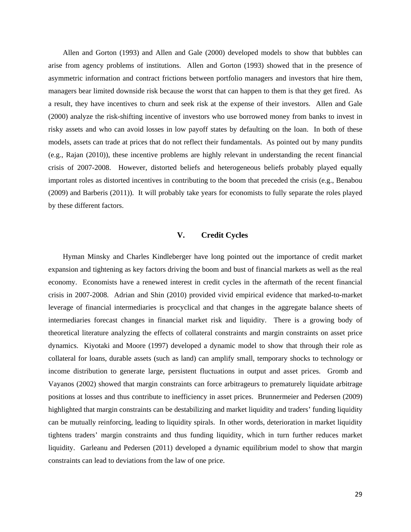Allen and Gorton (1993) and Allen and Gale (2000) developed models to show that bubbles can arise from agency problems of institutions. Allen and Gorton (1993) showed that in the presence of asymmetric information and contract frictions between portfolio managers and investors that hire them, managers bear limited downside risk because the worst that can happen to them is that they get fired. As a result, they have incentives to churn and seek risk at the expense of their investors. Allen and Gale (2000) analyze the risk-shifting incentive of investors who use borrowed money from banks to invest in risky assets and who can avoid losses in low payoff states by defaulting on the loan. In both of these models, assets can trade at prices that do not reflect their fundamentals. As pointed out by many pundits (e.g., Rajan (2010)), these incentive problems are highly relevant in understanding the recent financial crisis of 2007-2008. However, distorted beliefs and heterogeneous beliefs probably played equally important roles as distorted incentives in contributing to the boom that preceded the crisis (e.g., Benabou (2009) and Barberis (2011)). It will probably take years for economists to fully separate the roles played by these different factors.

# **V. Credit Cycles**

Hyman Minsky and Charles Kindleberger have long pointed out the importance of credit market expansion and tightening as key factors driving the boom and bust of financial markets as well as the real economy. Economists have a renewed interest in credit cycles in the aftermath of the recent financial crisis in 2007-2008. Adrian and Shin (2010) provided vivid empirical evidence that marked-to-market leverage of financial intermediaries is procyclical and that changes in the aggregate balance sheets of intermediaries forecast changes in financial market risk and liquidity. There is a growing body of theoretical literature analyzing the effects of collateral constraints and margin constraints on asset price dynamics. Kiyotaki and Moore (1997) developed a dynamic model to show that through their role as collateral for loans, durable assets (such as land) can amplify small, temporary shocks to technology or income distribution to generate large, persistent fluctuations in output and asset prices. Gromb and Vayanos (2002) showed that margin constraints can force arbitrageurs to prematurely liquidate arbitrage positions at losses and thus contribute to inefficiency in asset prices. Brunnermeier and Pedersen (2009) highlighted that margin constraints can be destabilizing and market liquidity and traders' funding liquidity can be mutually reinforcing, leading to liquidity spirals. In other words, deterioration in market liquidity tightens traders' margin constraints and thus funding liquidity, which in turn further reduces market liquidity. Garleanu and Pedersen (2011) developed a dynamic equilibrium model to show that margin constraints can lead to deviations from the law of one price.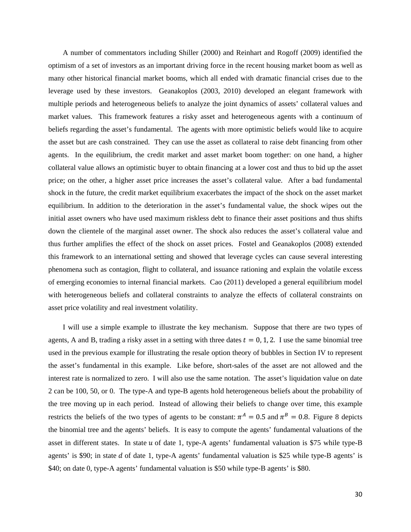A number of commentators including Shiller (2000) and Reinhart and Rogoff (2009) identified the optimism of a set of investors as an important driving force in the recent housing market boom as well as many other historical financial market booms, which all ended with dramatic financial crises due to the leverage used by these investors. Geanakoplos (2003, 2010) developed an elegant framework with multiple periods and heterogeneous beliefs to analyze the joint dynamics of assets' collateral values and market values. This framework features a risky asset and heterogeneous agents with a continuum of beliefs regarding the asset's fundamental. The agents with more optimistic beliefs would like to acquire the asset but are cash constrained. They can use the asset as collateral to raise debt financing from other agents. In the equilibrium, the credit market and asset market boom together: on one hand, a higher collateral value allows an optimistic buyer to obtain financing at a lower cost and thus to bid up the asset price; on the other, a higher asset price increases the asset's collateral value. After a bad fundamental shock in the future, the credit market equilibrium exacerbates the impact of the shock on the asset market equilibrium. In addition to the deterioration in the asset's fundamental value, the shock wipes out the initial asset owners who have used maximum riskless debt to finance their asset positions and thus shifts down the clientele of the marginal asset owner. The shock also reduces the asset's collateral value and thus further amplifies the effect of the shock on asset prices. Fostel and Geanakoplos (2008) extended this framework to an international setting and showed that leverage cycles can cause several interesting phenomena such as contagion, flight to collateral, and issuance rationing and explain the volatile excess of emerging economies to internal financial markets. Cao (2011) developed a general equilibrium model with heterogeneous beliefs and collateral constraints to analyze the effects of collateral constraints on asset price volatility and real investment volatility.

I will use a simple example to illustrate the key mechanism. Suppose that there are two types of agents, A and B, trading a risky asset in a setting with three dates  $t = 0, 1, 2$ . I use the same binomial tree used in the previous example for illustrating the resale option theory of bubbles in Section IV to represent the asset's fundamental in this example. Like before, short-sales of the asset are not allowed and the interest rate is normalized to zero. I will also use the same notation. The asset's liquidation value on date 2 can be 100, 50, or 0. The type-A and type-B agents hold heterogeneous beliefs about the probability of the tree moving up in each period. Instead of allowing their beliefs to change over time, this example restricts the beliefs of the two types of agents to be constant:  $\pi^A = 0.5$  and  $\pi^B = 0.8$ . Figure 8 depicts the binomial tree and the agents' beliefs. It is easy to compute the agents' fundamental valuations of the asset in different states. In state  $u$  of date 1, type-A agents' fundamental valuation is \$75 while type-B agents' is \$90; in state  $d$  of date 1, type-A agents' fundamental valuation is \$25 while type-B agents' is \$40; on date 0, type-A agents' fundamental valuation is \$50 while type-B agents' is \$80.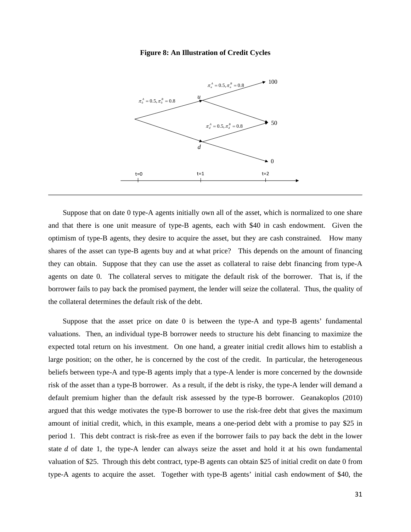

#### **Figure 8: An Illustration of Credit Cycles**

Suppose that on date 0 type-A agents initially own all of the asset, which is normalized to one share and that there is one unit measure of type-B agents, each with \$40 in cash endowment. Given the optimism of type-B agents, they desire to acquire the asset, but they are cash constrained. How many shares of the asset can type-B agents buy and at what price? This depends on the amount of financing they can obtain. Suppose that they can use the asset as collateral to raise debt financing from type-A agents on date 0. The collateral serves to mitigate the default risk of the borrower. That is, if the borrower fails to pay back the promised payment, the lender will seize the collateral. Thus, the quality of the collateral determines the default risk of the debt.

Suppose that the asset price on date 0 is between the type-A and type-B agents' fundamental valuations. Then, an individual type-B borrower needs to structure his debt financing to maximize the expected total return on his investment. On one hand, a greater initial credit allows him to establish a large position; on the other, he is concerned by the cost of the credit. In particular, the heterogeneous beliefs between type-A and type-B agents imply that a type-A lender is more concerned by the downside risk of the asset than a type-B borrower. As a result, if the debt is risky, the type-A lender will demand a default premium higher than the default risk assessed by the type-B borrower. Geanakoplos (2010) argued that this wedge motivates the type-B borrower to use the risk-free debt that gives the maximum amount of initial credit, which, in this example, means a one-period debt with a promise to pay \$25 in period 1. This debt contract is risk-free as even if the borrower fails to pay back the debt in the lower state  $d$  of date 1, the type-A lender can always seize the asset and hold it at his own fundamental valuation of \$25. Through this debt contract, type-B agents can obtain \$25 of initial credit on date 0 from type-A agents to acquire the asset. Together with type-B agents' initial cash endowment of \$40, the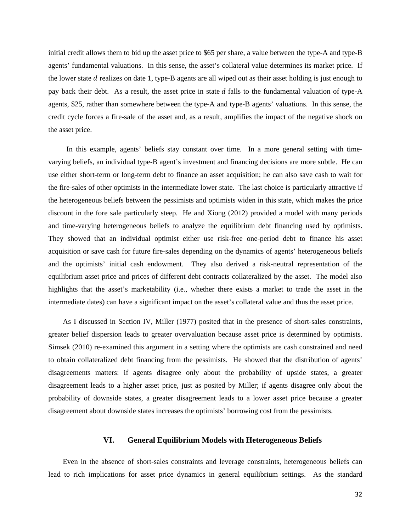initial credit allows them to bid up the asset price to \$65 per share, a value between the type-A and type-B agents' fundamental valuations. In this sense, the asset's collateral value determines its market price. If the lower state d realizes on date 1, type-B agents are all wiped out as their asset holding is just enough to pay back their debt. As a result, the asset price in state  $d$  falls to the fundamental valuation of type- $A$ agents, \$25, rather than somewhere between the type-A and type-B agents' valuations. In this sense, the credit cycle forces a fire-sale of the asset and, as a result, amplifies the impact of the negative shock on the asset price.

 In this example, agents' beliefs stay constant over time. In a more general setting with timevarying beliefs, an individual type-B agent's investment and financing decisions are more subtle. He can use either short-term or long-term debt to finance an asset acquisition; he can also save cash to wait for the fire-sales of other optimists in the intermediate lower state. The last choice is particularly attractive if the heterogeneous beliefs between the pessimists and optimists widen in this state, which makes the price discount in the fore sale particularly steep. He and Xiong (2012) provided a model with many periods and time-varying heterogeneous beliefs to analyze the equilibrium debt financing used by optimists. They showed that an individual optimist either use risk-free one-period debt to finance his asset acquisition or save cash for future fire-sales depending on the dynamics of agents' heterogeneous beliefs and the optimists' initial cash endowment. They also derived a risk-neutral representation of the equilibrium asset price and prices of different debt contracts collateralized by the asset. The model also highlights that the asset's marketability (i.e., whether there exists a market to trade the asset in the intermediate dates) can have a significant impact on the asset's collateral value and thus the asset price.

As I discussed in Section IV, Miller (1977) posited that in the presence of short-sales constraints, greater belief dispersion leads to greater overvaluation because asset price is determined by optimists. Simsek (2010) re-examined this argument in a setting where the optimists are cash constrained and need to obtain collateralized debt financing from the pessimists. He showed that the distribution of agents' disagreements matters: if agents disagree only about the probability of upside states, a greater disagreement leads to a higher asset price, just as posited by Miller; if agents disagree only about the probability of downside states, a greater disagreement leads to a lower asset price because a greater disagreement about downside states increases the optimists' borrowing cost from the pessimists.

### **VI. General Equilibrium Models with Heterogeneous Beliefs**

Even in the absence of short-sales constraints and leverage constraints, heterogeneous beliefs can lead to rich implications for asset price dynamics in general equilibrium settings. As the standard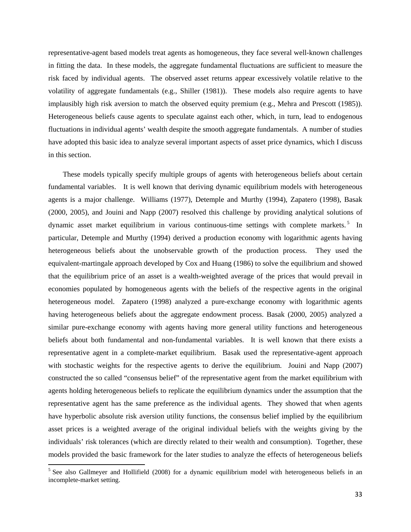representative-agent based models treat agents as homogeneous, they face several well-known challenges in fitting the data. In these models, the aggregate fundamental fluctuations are sufficient to measure the risk faced by individual agents. The observed asset returns appear excessively volatile relative to the volatility of aggregate fundamentals (e.g., Shiller (1981)). These models also require agents to have implausibly high risk aversion to match the observed equity premium (e.g., Mehra and Prescott (1985)). Heterogeneous beliefs cause agents to speculate against each other, which, in turn, lead to endogenous fluctuations in individual agents' wealth despite the smooth aggregate fundamentals. A number of studies have adopted this basic idea to analyze several important aspects of asset price dynamics, which I discuss in this section.

These models typically specify multiple groups of agents with heterogeneous beliefs about certain fundamental variables. It is well known that deriving dynamic equilibrium models with heterogeneous agents is a major challenge. Williams (1977), Detemple and Murthy (1994), Zapatero (1998), Basak (2000, 2005), and Jouini and Napp (2007) resolved this challenge by providing analytical solutions of dynamic asset market equilibrium in various continuous-time settings with complete markets.<sup>5</sup> In particular, Detemple and Murthy (1994) derived a production economy with logarithmic agents having heterogeneous beliefs about the unobservable growth of the production process. They used the equivalent-martingale approach developed by Cox and Huang (1986) to solve the equilibrium and showed that the equilibrium price of an asset is a wealth-weighted average of the prices that would prevail in economies populated by homogeneous agents with the beliefs of the respective agents in the original heterogeneous model. Zapatero (1998) analyzed a pure-exchange economy with logarithmic agents having heterogeneous beliefs about the aggregate endowment process. Basak (2000, 2005) analyzed a similar pure-exchange economy with agents having more general utility functions and heterogeneous beliefs about both fundamental and non-fundamental variables. It is well known that there exists a representative agent in a complete-market equilibrium. Basak used the representative-agent approach with stochastic weights for the respective agents to derive the equilibrium. Jouini and Napp (2007) constructed the so called "consensus belief" of the representative agent from the market equilibrium with agents holding heterogeneous beliefs to replicate the equilibrium dynamics under the assumption that the representative agent has the same preference as the individual agents. They showed that when agents have hyperbolic absolute risk aversion utility functions, the consensus belief implied by the equilibrium asset prices is a weighted average of the original individual beliefs with the weights giving by the individuals' risk tolerances (which are directly related to their wealth and consumption). Together, these models provided the basic framework for the later studies to analyze the effects of heterogeneous beliefs

<sup>&</sup>lt;sup>5</sup> See also Gallmeyer and Hollifield (2008) for a dynamic equilibrium model with heterogeneous beliefs in an incomplete-market setting.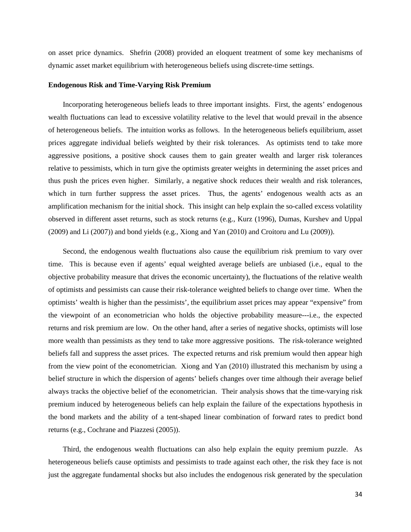on asset price dynamics. Shefrin (2008) provided an eloquent treatment of some key mechanisms of dynamic asset market equilibrium with heterogeneous beliefs using discrete-time settings.

#### **Endogenous Risk and Time-Varying Risk Premium**

Incorporating heterogeneous beliefs leads to three important insights. First, the agents' endogenous wealth fluctuations can lead to excessive volatility relative to the level that would prevail in the absence of heterogeneous beliefs. The intuition works as follows. In the heterogeneous beliefs equilibrium, asset prices aggregate individual beliefs weighted by their risk tolerances. As optimists tend to take more aggressive positions, a positive shock causes them to gain greater wealth and larger risk tolerances relative to pessimists, which in turn give the optimists greater weights in determining the asset prices and thus push the prices even higher. Similarly, a negative shock reduces their wealth and risk tolerances, which in turn further suppress the asset prices. Thus, the agents' endogenous wealth acts as an amplification mechanism for the initial shock. This insight can help explain the so-called excess volatility observed in different asset returns, such as stock returns (e.g., Kurz (1996), Dumas, Kurshev and Uppal (2009) and Li (2007)) and bond yields (e.g., Xiong and Yan (2010) and Croitoru and Lu (2009)).

Second, the endogenous wealth fluctuations also cause the equilibrium risk premium to vary over time. This is because even if agents' equal weighted average beliefs are unbiased (i.e., equal to the objective probability measure that drives the economic uncertainty), the fluctuations of the relative wealth of optimists and pessimists can cause their risk-tolerance weighted beliefs to change over time. When the optimists' wealth is higher than the pessimists', the equilibrium asset prices may appear "expensive" from the viewpoint of an econometrician who holds the objective probability measure---i.e., the expected returns and risk premium are low. On the other hand, after a series of negative shocks, optimists will lose more wealth than pessimists as they tend to take more aggressive positions. The risk-tolerance weighted beliefs fall and suppress the asset prices. The expected returns and risk premium would then appear high from the view point of the econometrician. Xiong and Yan (2010) illustrated this mechanism by using a belief structure in which the dispersion of agents' beliefs changes over time although their average belief always tracks the objective belief of the econometrician. Their analysis shows that the time-varying risk premium induced by heterogeneous beliefs can help explain the failure of the expectations hypothesis in the bond markets and the ability of a tent-shaped linear combination of forward rates to predict bond returns (e.g., Cochrane and Piazzesi (2005)).

Third, the endogenous wealth fluctuations can also help explain the equity premium puzzle. As heterogeneous beliefs cause optimists and pessimists to trade against each other, the risk they face is not just the aggregate fundamental shocks but also includes the endogenous risk generated by the speculation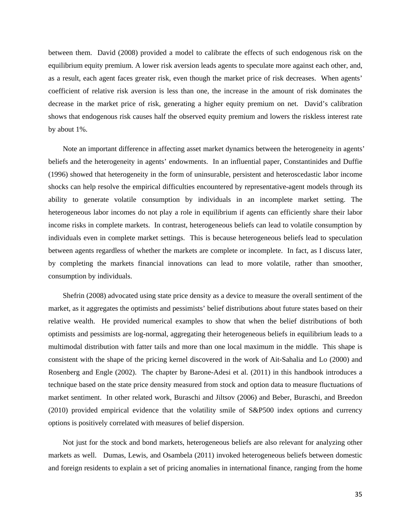between them. David (2008) provided a model to calibrate the effects of such endogenous risk on the equilibrium equity premium. A lower risk aversion leads agents to speculate more against each other, and, as a result, each agent faces greater risk, even though the market price of risk decreases. When agents' coefficient of relative risk aversion is less than one, the increase in the amount of risk dominates the decrease in the market price of risk, generating a higher equity premium on net. David's calibration shows that endogenous risk causes half the observed equity premium and lowers the riskless interest rate by about 1%.

Note an important difference in affecting asset market dynamics between the heterogeneity in agents' beliefs and the heterogeneity in agents' endowments. In an influential paper, Constantinides and Duffie (1996) showed that heterogeneity in the form of uninsurable, persistent and heteroscedastic labor income shocks can help resolve the empirical difficulties encountered by representative-agent models through its ability to generate volatile consumption by individuals in an incomplete market setting. The heterogeneous labor incomes do not play a role in equilibrium if agents can efficiently share their labor income risks in complete markets. In contrast, heterogeneous beliefs can lead to volatile consumption by individuals even in complete market settings. This is because heterogeneous beliefs lead to speculation between agents regardless of whether the markets are complete or incomplete. In fact, as I discuss later, by completing the markets financial innovations can lead to more volatile, rather than smoother, consumption by individuals.

Shefrin (2008) advocated using state price density as a device to measure the overall sentiment of the market, as it aggregates the optimists and pessimists' belief distributions about future states based on their relative wealth. He provided numerical examples to show that when the belief distributions of both optimists and pessimists are log-normal, aggregating their heterogeneous beliefs in equilibrium leads to a multimodal distribution with fatter tails and more than one local maximum in the middle. This shape is consistent with the shape of the pricing kernel discovered in the work of Ait-Sahalia and Lo (2000) and Rosenberg and Engle (2002). The chapter by Barone-Adesi et al. (2011) in this handbook introduces a technique based on the state price density measured from stock and option data to measure fluctuations of market sentiment. In other related work, Buraschi and Jiltsov (2006) and Beber, Buraschi, and Breedon (2010) provided empirical evidence that the volatility smile of S&P500 index options and currency options is positively correlated with measures of belief dispersion.

Not just for the stock and bond markets, heterogeneous beliefs are also relevant for analyzing other markets as well. Dumas, Lewis, and Osambela (2011) invoked heterogeneous beliefs between domestic and foreign residents to explain a set of pricing anomalies in international finance, ranging from the home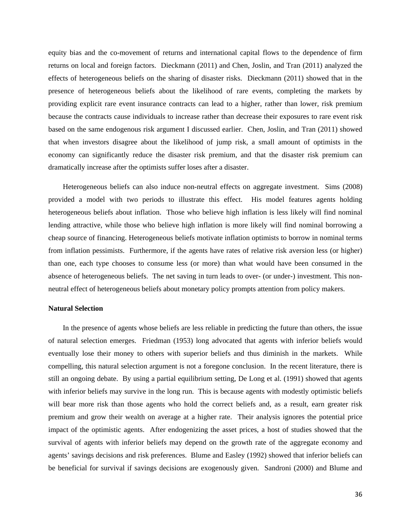equity bias and the co-movement of returns and international capital flows to the dependence of firm returns on local and foreign factors. Dieckmann (2011) and Chen, Joslin, and Tran (2011) analyzed the effects of heterogeneous beliefs on the sharing of disaster risks. Dieckmann (2011) showed that in the presence of heterogeneous beliefs about the likelihood of rare events, completing the markets by providing explicit rare event insurance contracts can lead to a higher, rather than lower, risk premium because the contracts cause individuals to increase rather than decrease their exposures to rare event risk based on the same endogenous risk argument I discussed earlier. Chen, Joslin, and Tran (2011) showed that when investors disagree about the likelihood of jump risk, a small amount of optimists in the economy can significantly reduce the disaster risk premium, and that the disaster risk premium can dramatically increase after the optimists suffer loses after a disaster.

Heterogeneous beliefs can also induce non-neutral effects on aggregate investment. Sims (2008) provided a model with two periods to illustrate this effect. His model features agents holding heterogeneous beliefs about inflation. Those who believe high inflation is less likely will find nominal lending attractive, while those who believe high inflation is more likely will find nominal borrowing a cheap source of financing. Heterogeneous beliefs motivate inflation optimists to borrow in nominal terms from inflation pessimists. Furthermore, if the agents have rates of relative risk aversion less (or higher) than one, each type chooses to consume less (or more) than what would have been consumed in the absence of heterogeneous beliefs. The net saving in turn leads to over- (or under-) investment. This nonneutral effect of heterogeneous beliefs about monetary policy prompts attention from policy makers.

### **Natural Selection**

In the presence of agents whose beliefs are less reliable in predicting the future than others, the issue of natural selection emerges. Friedman (1953) long advocated that agents with inferior beliefs would eventually lose their money to others with superior beliefs and thus diminish in the markets. While compelling, this natural selection argument is not a foregone conclusion. In the recent literature, there is still an ongoing debate. By using a partial equilibrium setting, De Long et al. (1991) showed that agents with inferior beliefs may survive in the long run. This is because agents with modestly optimistic beliefs will bear more risk than those agents who hold the correct beliefs and, as a result, earn greater risk premium and grow their wealth on average at a higher rate. Their analysis ignores the potential price impact of the optimistic agents. After endogenizing the asset prices, a host of studies showed that the survival of agents with inferior beliefs may depend on the growth rate of the aggregate economy and agents' savings decisions and risk preferences. Blume and Easley (1992) showed that inferior beliefs can be beneficial for survival if savings decisions are exogenously given. Sandroni (2000) and Blume and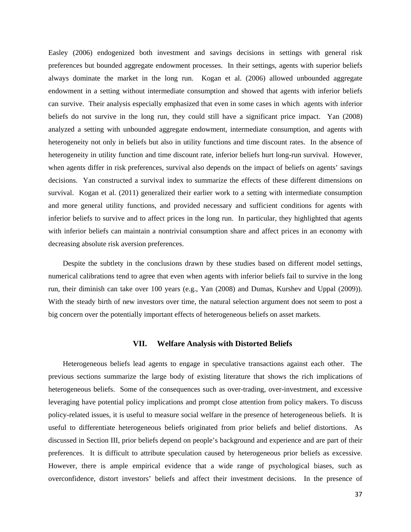Easley (2006) endogenized both investment and savings decisions in settings with general risk preferences but bounded aggregate endowment processes. In their settings, agents with superior beliefs always dominate the market in the long run. Kogan et al. (2006) allowed unbounded aggregate endowment in a setting without intermediate consumption and showed that agents with inferior beliefs can survive. Their analysis especially emphasized that even in some cases in which agents with inferior beliefs do not survive in the long run, they could still have a significant price impact. Yan (2008) analyzed a setting with unbounded aggregate endowment, intermediate consumption, and agents with heterogeneity not only in beliefs but also in utility functions and time discount rates. In the absence of heterogeneity in utility function and time discount rate, inferior beliefs hurt long-run survival. However, when agents differ in risk preferences, survival also depends on the impact of beliefs on agents' savings decisions. Yan constructed a survival index to summarize the effects of these different dimensions on survival. Kogan et al. (2011) generalized their earlier work to a setting with intermediate consumption and more general utility functions, and provided necessary and sufficient conditions for agents with inferior beliefs to survive and to affect prices in the long run. In particular, they highlighted that agents with inferior beliefs can maintain a nontrivial consumption share and affect prices in an economy with decreasing absolute risk aversion preferences.

Despite the subtlety in the conclusions drawn by these studies based on different model settings, numerical calibrations tend to agree that even when agents with inferior beliefs fail to survive in the long run, their diminish can take over 100 years (e.g., Yan (2008) and Dumas, Kurshev and Uppal (2009)). With the steady birth of new investors over time, the natural selection argument does not seem to post a big concern over the potentially important effects of heterogeneous beliefs on asset markets.

### **VII. Welfare Analysis with Distorted Beliefs**

Heterogeneous beliefs lead agents to engage in speculative transactions against each other. The previous sections summarize the large body of existing literature that shows the rich implications of heterogeneous beliefs. Some of the consequences such as over-trading, over-investment, and excessive leveraging have potential policy implications and prompt close attention from policy makers. To discuss policy-related issues, it is useful to measure social welfare in the presence of heterogeneous beliefs. It is useful to differentiate heterogeneous beliefs originated from prior beliefs and belief distortions. As discussed in Section III, prior beliefs depend on people's background and experience and are part of their preferences. It is difficult to attribute speculation caused by heterogeneous prior beliefs as excessive. However, there is ample empirical evidence that a wide range of psychological biases, such as overconfidence, distort investors' beliefs and affect their investment decisions. In the presence of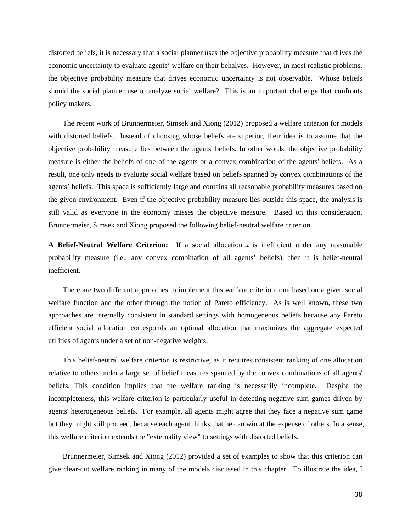distorted beliefs, it is necessary that a social planner uses the objective probability measure that drives the economic uncertainty to evaluate agents' welfare on their behalves. However, in most realistic problems, the objective probability measure that drives economic uncertainty is not observable. Whose beliefs should the social planner use to analyze social welfare? This is an important challenge that confronts policy makers.

The recent work of Brunnermeier, Simsek and Xiong (2012) proposed a welfare criterion for models with distorted beliefs. Instead of choosing whose beliefs are superior, their idea is to assume that the objective probability measure lies between the agents' beliefs. In other words, the objective probability measure is either the beliefs of one of the agents or a convex combination of the agents' beliefs. As a result, one only needs to evaluate social welfare based on beliefs spanned by convex combinations of the agents' beliefs. This space is sufficiently large and contains all reasonable probability measures based on the given environment. Even if the objective probability measure lies outside this space, the analysis is still valid as everyone in the economy misses the objective measure. Based on this consideration, Brunnermeier, Simsek and Xiong proposed the following belief-neutral welfare criterion.

**A Belief-Neutral Welfare Criterion:** If a social allocation  $x$  is inefficient under any reasonable probability measure (i.e., any convex combination of all agents' beliefs), then it is belief-neutral inefficient.

There are two different approaches to implement this welfare criterion, one based on a given social welfare function and the other through the notion of Pareto efficiency. As is well known, these two approaches are internally consistent in standard settings with homogeneous beliefs because any Pareto efficient social allocation corresponds an optimal allocation that maximizes the aggregate expected utilities of agents under a set of non-negative weights.

This belief-neutral welfare criterion is restrictive, as it requires consistent ranking of one allocation relative to others under a large set of belief measures spanned by the convex combinations of all agents' beliefs. This condition implies that the welfare ranking is necessarily incomplete. Despite the incompleteness, this welfare criterion is particularly useful in detecting negative-sum games driven by agents' heterogeneous beliefs. For example, all agents might agree that they face a negative sum game but they might still proceed, because each agent thinks that he can win at the expense of others. In a sense, this welfare criterion extends the "externality view" to settings with distorted beliefs.

Brunnermeier, Simsek and Xiong (2012) provided a set of examples to show that this criterion can give clear-cut welfare ranking in many of the models discussed in this chapter. To illustrate the idea, I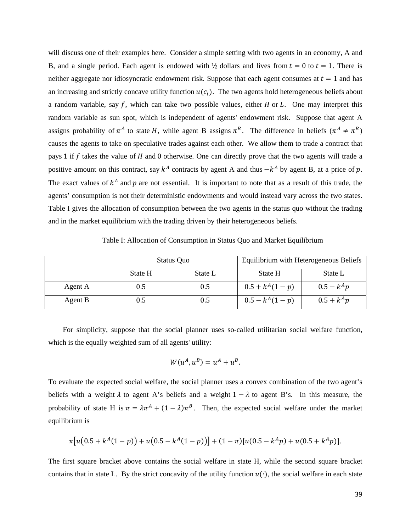will discuss one of their examples here. Consider a simple setting with two agents in an economy, A and B, and a single period. Each agent is endowed with  $\frac{1}{2}$  dollars and lives from  $t = 0$  to  $t = 1$ . There is neither aggregate nor idiosyncratic endowment risk. Suppose that each agent consumes at  $t = 1$  and has an increasing and strictly concave utility function  $u(c_i)$ . The two agents hold heterogeneous beliefs about a random variable, say  $f$ , which can take two possible values, either  $H$  or  $L$ . One may interpret this random variable as sun spot, which is independent of agents' endowment risk. Suppose that agent A assigns probability of  $\pi^A$  to state H, while agent B assigns  $\pi^B$ . The difference in beliefs  $(\pi^A \neq \pi^B)$ causes the agents to take on speculative trades against each other. We allow them to trade a contract that pays 1 if  $f$  takes the value of  $H$  and 0 otherwise. One can directly prove that the two agents will trade a positive amount on this contract, say  $k^A$  contracts by agent A and thus  $-k^A$  by agent B, at a price of p. The exact values of  $k^A$  and p are not essential. It is important to note that as a result of this trade, the agents' consumption is not their deterministic endowments and would instead vary across the two states. Table I gives the allocation of consumption between the two agents in the status quo without the trading and in the market equilibrium with the trading driven by their heterogeneous beliefs.

Status Quo **Equilibrium** with Heterogeneous Beliefs State H State L State H State L Agent A  $\begin{array}{|c|c|c|c|c|c|c|c|} \hline 0.5 & 0.5 & 0.5 + k^A(1-p) & 0.5 - k^A p \hline \end{array}$ Agent B 0.5 0.5 0.5  $0.5 - k^A(1-p)$  0.5 +  $k^A p$ 

Table I: Allocation of Consumption in Status Quo and Market Equilibrium

For simplicity, suppose that the social planner uses so-called utilitarian social welfare function, which is the equally weighted sum of all agents' utility:

$$
W(u^A, u^B) = u^A + u^B.
$$

To evaluate the expected social welfare, the social planner uses a convex combination of the two agent's beliefs with a weight  $\lambda$  to agent A's beliefs and a weight  $1 - \lambda$  to agent B's. In this measure, the probability of state H is  $\pi = \lambda \pi^A + (1 - \lambda) \pi^B$ . Then, the expected social welfare under the market equilibrium is

$$
\pi[u(0.5 + k^{A}(1-p)) + u(0.5 - k^{A}(1-p))] + (1-\pi)[u(0.5 - k^{A}p) + u(0.5 + k^{A}p)].
$$

The first square bracket above contains the social welfare in state H, while the second square bracket contains that in state L. By the strict concavity of the utility function  $u(·)$ , the social welfare in each state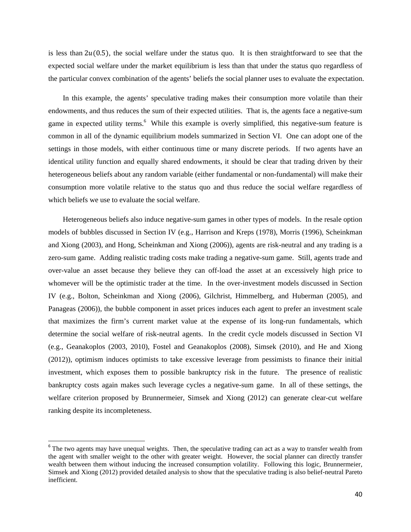is less than  $2u(0.5)$ , the social welfare under the status quo. It is then straightforward to see that the expected social welfare under the market equilibrium is less than that under the status quo regardless of the particular convex combination of the agents' beliefs the social planner uses to evaluate the expectation.

In this example, the agents' speculative trading makes their consumption more volatile than their endowments, and thus reduces the sum of their expected utilities. That is, the agents face a negative-sum game in expected utility terms.<sup>6</sup> While this example is overly simplified, this negative-sum feature is common in all of the dynamic equilibrium models summarized in Section VI. One can adopt one of the settings in those models, with either continuous time or many discrete periods. If two agents have an identical utility function and equally shared endowments, it should be clear that trading driven by their heterogeneous beliefs about any random variable (either fundamental or non-fundamental) will make their consumption more volatile relative to the status quo and thus reduce the social welfare regardless of which beliefs we use to evaluate the social welfare.

Heterogeneous beliefs also induce negative-sum games in other types of models. In the resale option models of bubbles discussed in Section IV (e.g., Harrison and Kreps (1978), Morris (1996), Scheinkman and Xiong (2003), and Hong, Scheinkman and Xiong (2006)), agents are risk-neutral and any trading is a zero-sum game. Adding realistic trading costs make trading a negative-sum game. Still, agents trade and over-value an asset because they believe they can off-load the asset at an excessively high price to whomever will be the optimistic trader at the time. In the over-investment models discussed in Section IV (e.g., Bolton, Scheinkman and Xiong (2006), Gilchrist, Himmelberg, and Huberman (2005), and Panageas (2006)), the bubble component in asset prices induces each agent to prefer an investment scale that maximizes the firm's current market value at the expense of its long-run fundamentals, which determine the social welfare of risk-neutral agents. In the credit cycle models discussed in Section VI (e.g., Geanakoplos (2003, 2010), Fostel and Geanakoplos (2008), Simsek (2010), and He and Xiong (2012)), optimism induces optimists to take excessive leverage from pessimists to finance their initial investment, which exposes them to possible bankruptcy risk in the future. The presence of realistic bankruptcy costs again makes such leverage cycles a negative-sum game. In all of these settings, the welfare criterion proposed by Brunnermeier, Simsek and Xiong (2012) can generate clear-cut welfare ranking despite its incompleteness.

<sup>&</sup>lt;sup>6</sup> The two agents may have unequal weights. Then, the speculative trading can act as a way to transfer wealth from the agent with smaller weight to the other with greater weight. However, the social planner can directly transfer wealth between them without inducing the increased consumption volatility. Following this logic, Brunnermeier, Simsek and Xiong (2012) provided detailed analysis to show that the speculative trading is also belief-neutral Pareto inefficient.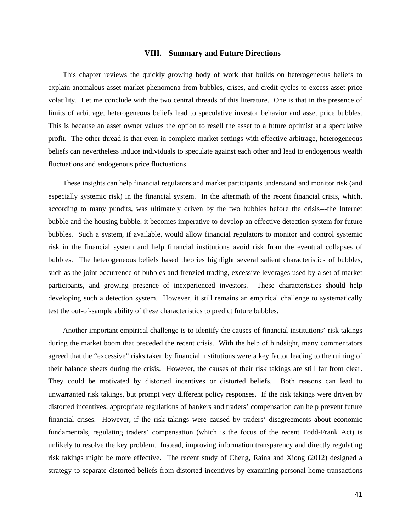#### **VIII. Summary and Future Directions**

This chapter reviews the quickly growing body of work that builds on heterogeneous beliefs to explain anomalous asset market phenomena from bubbles, crises, and credit cycles to excess asset price volatility. Let me conclude with the two central threads of this literature. One is that in the presence of limits of arbitrage, heterogeneous beliefs lead to speculative investor behavior and asset price bubbles. This is because an asset owner values the option to resell the asset to a future optimist at a speculative profit. The other thread is that even in complete market settings with effective arbitrage, heterogeneous beliefs can nevertheless induce individuals to speculate against each other and lead to endogenous wealth fluctuations and endogenous price fluctuations.

These insights can help financial regulators and market participants understand and monitor risk (and especially systemic risk) in the financial system. In the aftermath of the recent financial crisis, which, according to many pundits, was ultimately driven by the two bubbles before the crisis---the Internet bubble and the housing bubble, it becomes imperative to develop an effective detection system for future bubbles. Such a system, if available, would allow financial regulators to monitor and control systemic risk in the financial system and help financial institutions avoid risk from the eventual collapses of bubbles. The heterogeneous beliefs based theories highlight several salient characteristics of bubbles, such as the joint occurrence of bubbles and frenzied trading, excessive leverages used by a set of market participants, and growing presence of inexperienced investors. These characteristics should help developing such a detection system. However, it still remains an empirical challenge to systematically test the out-of-sample ability of these characteristics to predict future bubbles.

Another important empirical challenge is to identify the causes of financial institutions' risk takings during the market boom that preceded the recent crisis. With the help of hindsight, many commentators agreed that the "excessive" risks taken by financial institutions were a key factor leading to the ruining of their balance sheets during the crisis. However, the causes of their risk takings are still far from clear. They could be motivated by distorted incentives or distorted beliefs. Both reasons can lead to unwarranted risk takings, but prompt very different policy responses. If the risk takings were driven by distorted incentives, appropriate regulations of bankers and traders' compensation can help prevent future financial crises. However, if the risk takings were caused by traders' disagreements about economic fundamentals, regulating traders' compensation (which is the focus of the recent Todd-Frank Act) is unlikely to resolve the key problem. Instead, improving information transparency and directly regulating risk takings might be more effective. The recent study of Cheng, Raina and Xiong (2012) designed a strategy to separate distorted beliefs from distorted incentives by examining personal home transactions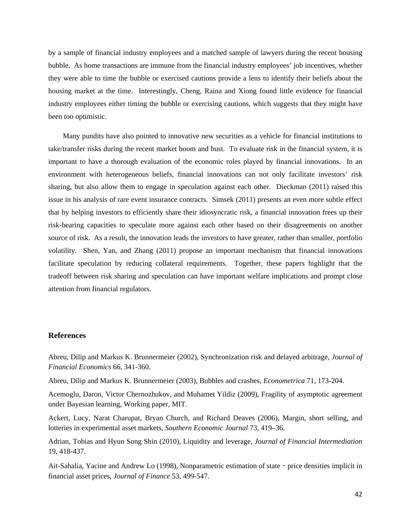by a sample of financial industry employees and a matched sample of lawyers during the recent housing bubble. As home transactions are immune from the financial industry employees' job incentives, whether they were able to time the bubble or exercised cautions provide a lens to identify their beliefs about the housing market at the time. Interestingly, Cheng, Raina and Xiong found little evidence for financial industry employees either timing the bubble or exercising cautions, which suggests that they might have been too optimistic.

Many pundits have also pointed to innovative new securities as a vehicle for financial institutions to take/transfer risks during the recent market boom and bust. To evaluate risk in the financial system, it is important to have a thorough evaluation of the economic roles played by financial innovations. In an environment with heterogeneous beliefs, financial innovations can not only facilitate investors' risk sharing, but also allow them to engage in speculation against each other. Dieckman (2011) raised this issue in his analysis of rare event insurance contracts. Simsek (2011) presents an even more subtle effect that by helping investors to efficiently share their idiosyncratic risk, a financial innovation frees up their risk-bearing capacities to speculate more against each other based on their disagreements on another source of risk. As a result, the innovation leads the investors to have greater, rather than smaller, portfolio volatility. Shen, Yan, and Zhang (2011) propose an important mechanism that financial innovations facilitate speculation by reducing collateral requirements. Together, these papers highlight that the tradeoff between risk sharing and speculation can have important welfare implications and prompt close attention from financial regulators.

## **References**

Abreu, Dilip and Markus K. Brunnermeier (2002), Synchronization risk and delayed arbitrage, *Journal of Financial Economics* 66, 341-360.

Abreu, Dilip and Markus K. Brunnermeier (2003), Bubbles and crashes, *Econometrica* 71, 173-204.

Acemoglu, Daron, Victor Chernozhukov, and Muhamet Yildiz (2009), Fragility of asymptotic agreement under Bayesian learning, Working paper, MIT.

Ackert, Lucy, Narat Charupat, Bryan Church, and Richard Deaves (2006), Margin, short selling, and lotteries in experimental asset markets, *Southern Economic Journal* 73, 419–36.

Adrian, Tobias and Hyun Song Shin (2010), Liquidity and leverage, *Journal of Financial Intermediation* 19, 418-437.

Ait-Sahalia, Yacine and Andrew Lo (1998), Nonparametric estimation of state - price densities implicit in financial asset prices, *Journal of Finance* 53, 499-547.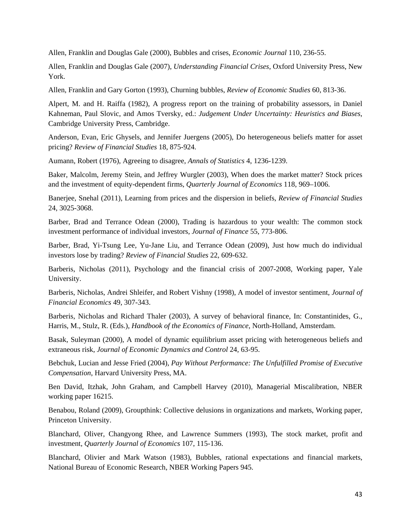Allen, Franklin and Douglas Gale (2000), Bubbles and crises, *Economic Journal* 110, 236-55.

Allen, Franklin and Douglas Gale (2007), *Understanding Financial Crises*, Oxford University Press, New York.

Allen, Franklin and Gary Gorton (1993), Churning bubbles, *Review of Economic Studies* 60, 813-36.

Alpert, M. and H. Raiffa (1982), A progress report on the training of probability assessors, in Daniel Kahneman, Paul Slovic, and Amos Tversky, ed.: *Judgement Under Uncertainty: Heuristics and Biases*, Cambridge University Press, Cambridge.

Anderson, Evan, Eric Ghysels, and Jennifer Juergens (2005), Do heterogeneous beliefs matter for asset pricing? *Review of Financial Studies* 18, 875-924.

Aumann, Robert (1976), Agreeing to disagree, *Annals of Statistics* 4, 1236-1239.

Baker, Malcolm, Jeremy Stein, and Jeffrey Wurgler (2003), When does the market matter? Stock prices and the investment of equity-dependent firms, *Quarterly Journal of Economics* 118, 969–1006.

Banerjee, Snehal (2011), Learning from prices and the dispersion in beliefs, *Review of Financial Studies* 24, 3025-3068.

Barber, Brad and Terrance Odean (2000), Trading is hazardous to your wealth: The common stock investment performance of individual investors, *Journal of Finance* 55, 773-806.

Barber, Brad, Yi-Tsung Lee, Yu-Jane Liu, and Terrance Odean (2009), Just how much do individual investors lose by trading? *Review of Financial Studies* 22, 609-632.

Barberis, Nicholas (2011), Psychology and the financial crisis of 2007-2008, Working paper, Yale University.

Barberis, Nicholas, Andrei Shleifer, and Robert Vishny (1998), A model of investor sentiment, *Journal of Financial Economics* 49, 307-343.

Barberis, Nicholas and Richard Thaler (2003), A survey of behavioral finance, In: Constantinides, G., Harris, M., Stulz, R. (Eds.), *Handbook of the Economics of Finance*, North-Holland, Amsterdam.

Basak, Suleyman (2000), A model of dynamic equilibrium asset pricing with heterogeneous beliefs and extraneous risk, *Journal of Economic Dynamics and Control* 24, 63-95.

Bebchuk, Lucian and Jesse Fried (2004), *Pay Without Performance: The Unfulfilled Promise of Executive Compensation*, Harvard University Press, MA.

Ben David, Itzhak, John Graham, and Campbell Harvey (2010), Managerial Miscalibration, NBER working paper 16215.

Benabou, Roland (2009), Groupthink: Collective delusions in organizations and markets, Working paper, Princeton University.

Blanchard, Oliver, Changyong Rhee, and Lawrence Summers (1993), The stock market, profit and investment, *Quarterly Journal of Economics* 107, 115-136.

Blanchard, Olivier and Mark Watson (1983), Bubbles, rational expectations and financial markets, National Bureau of Economic Research, NBER Working Papers 945.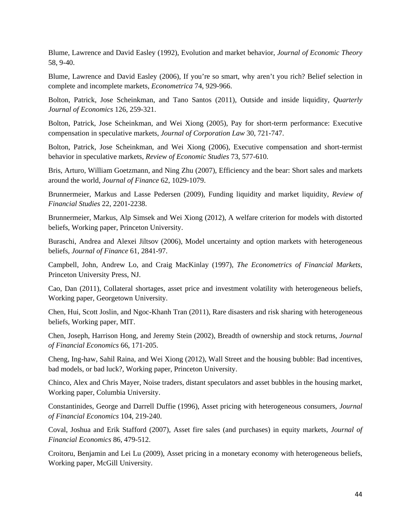Blume, Lawrence and David Easley (1992), Evolution and market behavior, *Journal of Economic Theory* 58, 9-40.

Blume, Lawrence and David Easley (2006), If you're so smart, why aren't you rich? Belief selection in complete and incomplete markets, *Econometrica* 74, 929-966.

Bolton, Patrick, Jose Scheinkman, and Tano Santos (2011), Outside and inside liquidity, *Quarterly Journal of Economics* 126, 259-321.

Bolton, Patrick, Jose Scheinkman, and Wei Xiong (2005), Pay for short-term performance: Executive compensation in speculative markets, *Journal of Corporation Law* 30, 721-747.

Bolton, Patrick, Jose Scheinkman, and Wei Xiong (2006), Executive compensation and short-termist behavior in speculative markets, *Review of Economic Studies* 73, 577-610.

Bris, Arturo, William Goetzmann, and Ning Zhu (2007), Efficiency and the bear: Short sales and markets around the world, *Journal of Finance* 62, 1029-1079.

Brunnermeier, Markus and Lasse Pedersen (2009), Funding liquidity and market liquidity, *Review of Financial Studies* 22, 2201-2238.

Brunnermeier, Markus, Alp Simsek and Wei Xiong (2012), A welfare criterion for models with distorted beliefs, Working paper, Princeton University.

Buraschi, Andrea and Alexei Jiltsov (2006), Model uncertainty and option markets with heterogeneous beliefs, *Journal of Finance* 61, 2841-97.

Campbell, John, Andrew Lo, and Craig MacKinlay (1997), *The Econometrics of Financial Markets*, Princeton University Press, NJ.

Cao, Dan (2011), Collateral shortages, asset price and investment volatility with heterogeneous beliefs, Working paper, Georgetown University.

Chen, Hui, Scott Joslin, and Ngoc-Khanh Tran (2011), Rare disasters and risk sharing with heterogeneous beliefs, Working paper, MIT.

Chen, Joseph, Harrison Hong, and Jeremy Stein (2002), Breadth of ownership and stock returns, *Journal of Financial Economics* 66, 171-205.

Cheng, Ing-haw, Sahil Raina, and Wei Xiong (2012), Wall Street and the housing bubble: Bad incentives, bad models, or bad luck?, Working paper, Princeton University.

Chinco, Alex and Chris Mayer, Noise traders, distant speculators and asset bubbles in the housing market, Working paper, Columbia University.

Constantinides, George and Darrell Duffie (1996), Asset pricing with heterogeneous consumers, *Journal of Financial Economics* 104, 219-240.

Coval, Joshua and Erik Stafford (2007), Asset fire sales (and purchases) in equity markets, *Journal of Financial Economics* 86, 479-512.

Croitoru, Benjamin and Lei Lu (2009), Asset pricing in a monetary economy with heterogeneous beliefs, Working paper, McGill University.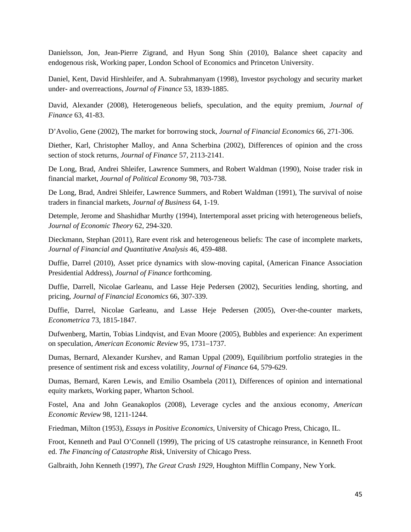Danielsson, Jon, Jean-Pierre Zigrand, and Hyun Song Shin (2010), Balance sheet capacity and endogenous risk, Working paper, London School of Economics and Princeton University.

Daniel, Kent, David Hirshleifer, and A. Subrahmanyam (1998), Investor psychology and security market under- and overreactions, *Journal of Finance* 53, 1839-1885.

David, Alexander (2008), Heterogeneous beliefs, speculation, and the equity premium, *Journal of Finance* 63, 41-83.

D'Avolio, Gene (2002), The market for borrowing stock, *Journal of Financial Economics* 66, 271-306.

Diether, Karl, Christopher Malloy, and Anna Scherbina (2002), Differences of opinion and the cross section of stock returns, *Journal of Finance* 57, 2113-2141.

De Long, Brad, Andrei Shleifer, Lawrence Summers, and Robert Waldman (1990), Noise trader risk in financial market, *Journal of Political Economy* 98, 703-738.

De Long, Brad, Andrei Shleifer, Lawrence Summers, and Robert Waldman (1991), The survival of noise traders in financial markets, *Journal of Business* 64, 1-19.

Detemple, Jerome and Shashidhar Murthy (1994), Intertemporal asset pricing with heterogeneous beliefs, *Journal of Economic Theory* 62, 294-320.

Dieckmann, Stephan (2011), Rare event risk and heterogeneous beliefs: The case of incomplete markets, *Journal of Financial and Quantitative Analysis* 46, 459-488.

Duffie, Darrel (2010), Asset price dynamics with slow-moving capital, (American Finance Association Presidential Address), *Journal of Finance* forthcoming.

Duffie, Darrell, Nicolae Garleanu, and Lasse Heje Pedersen (2002), Securities lending, shorting, and pricing, *Journal of Financial Economics* 66, 307-339.

Duffie, Darrel, Nicolae Garleanu, and Lasse Heje Pedersen (2005), Over-the-counter markets, *Econometrica* 73, 1815-1847.

Dufwenberg, Martin, Tobias Lindqvist, and Evan Moore (2005), Bubbles and experience: An experiment on speculation, *American Economic Review* 95, 1731–1737.

Dumas, Bernard, Alexander Kurshev, and Raman Uppal (2009), Equilibrium portfolio strategies in the presence of sentiment risk and excess volatility, *Journal of Finance* 64, 579-629.

Dumas, Bernard, Karen Lewis, and Emilio Osambela (2011), Differences of opinion and international equity markets, Working paper, Wharton School.

Fostel, Ana and John Geanakoplos (2008), Leverage cycles and the anxious economy, *American Economic Review* 98, 1211-1244.

Friedman, Milton (1953), *Essays in Positive Economics,* University of Chicago Press, Chicago, IL.

Froot, Kenneth and Paul O'Connell (1999), The pricing of US catastrophe reinsurance, in Kenneth Froot ed. *The Financing of Catastrophe Risk*, University of Chicago Press.

Galbraith, John Kenneth (1997), *The Great Crash 1929*, Houghton Mifflin Company, New York.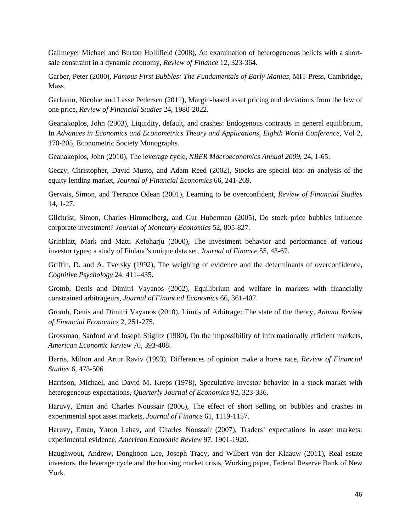Gallmeyer Michael and Burton Hollifield (2008), An examination of heterogeneous beliefs with a shortsale constraint in a dynamic economy, *Review of Finance* 12, 323-364.

Garber, Peter (2000), *Famous First Bubbles: The Fundamentals of Early Manias*, MIT Press, Cambridge, Mass.

Garleanu, Nicolae and Lasse Pedersen (2011), Margin-based asset pricing and deviations from the law of one price, *Review of Financial Studies* 24, 1980-2022.

Geanakoplos, John (2003), Liquidity, default, and crashes: Endogenous contracts in general equilibrium, In *Advances in Economics and Econometrics Theory and Applications, Eighth World Conference,* Vol 2, 170-205, Econometric Society Monographs.

Geanakoplos, John (2010), The leverage cycle, *NBER Macroeconomics Annual 2009,* 24, 1-65.

Geczy, Christopher, David Musto, and Adam Reed (2002), Stocks are special too: an analysis of the equity lending market, *Journal of Financial Economics* 66, 241-269.

Gervais, Simon, and Terrance Odean (2001), Learning to be overconfident, *Review of Financial Studies* 14, 1-27.

Gilchrist, Simon, Charles Himmelberg, and Gur Huberman (2005), Do stock price bubbles influence corporate investment? *Journal of Monetary Economics* 52, 805-827.

Grinblatt, Mark and Matti Keloharju (2000), The investment behavior and performance of various investor types: a study of Finland's unique data set, *Journal of Finance* 55, 43-67.

Griffin, D. and A. Tversky (1992), The weighing of evidence and the determinants of overconfidence, *Cognitive Psychology* 24, 411–435.

Gromb, Denis and Dimitri Vayanos (2002), Equilibrium and welfare in markets with financially constrained arbitrageurs, *Journal of Financial Economics* 66, 361-407.

Gromb, Denis and Dimitri Vayanos (2010), Limits of Arbitrage: The state of the theory, *Annual Review of Financial Economics* 2, 251-275.

Grossman, Sanford and Joseph Stiglitz (1980), On the impossibility of informationally efficient markets, *American Economic Review* 70, 393-408.

Harris, Milton and Artur Raviv (1993), Differences of opinion make a horse race, *Review of Financial Studies* 6, 473-506

Harrison, Michael, and David M. Kreps (1978), Speculative investor behavior in a stock-market with heterogeneous expectations, *Quarterly Journal of Economics* 92, 323-336.

Haruvy, Ernan and Charles Noussair (2006), The effect of short selling on bubbles and crashes in experimental spot asset markets, *Journal of Finance* 61, 1119-1157.

Haruvy, Ernan, Yaron Lahav, and Charles Noussair (2007), Traders' expectations in asset markets: experimental evidence, *American Economic Review* 97, 1901-1920.

Haughwout, Andrew, Donghoon Lee, Joseph Tracy, and Wilbert van der Klaauw (2011), Real estate investors, the leverage cycle and the housing market crisis, Working paper, Federal Reserve Bank of New York.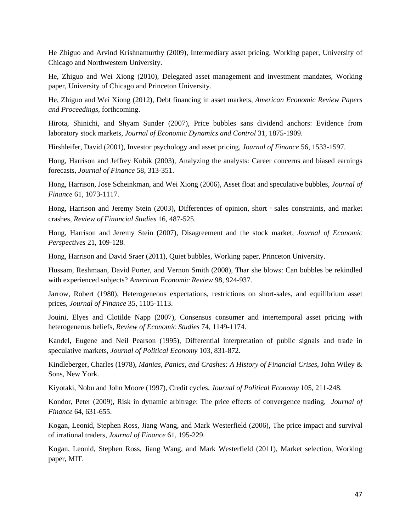He Zhiguo and Arvind Krishnamurthy (2009), Intermediary asset pricing, Working paper, University of Chicago and Northwestern University.

He, Zhiguo and Wei Xiong (2010), Delegated asset management and investment mandates, Working paper, University of Chicago and Princeton University.

He, Zhiguo and Wei Xiong (2012), Debt financing in asset markets, *American Economic Review Papers and Proceedings*, forthcoming.

Hirota, Shinichi, and Shyam Sunder (2007), Price bubbles sans dividend anchors: Evidence from laboratory stock markets, *Journal of Economic Dynamics and Control* 31, 1875-1909.

Hirshleifer, David (2001), Investor psychology and asset pricing, *Journal of Finance* 56, 1533-1597.

Hong, Harrison and Jeffrey Kubik (2003), Analyzing the analysts: Career concerns and biased earnings forecasts, *Journal of Finance* 58, 313-351.

Hong, Harrison, Jose Scheinkman, and Wei Xiong (2006), Asset float and speculative bubbles, *Journal of Finance* 61, 1073-1117.

Hong, Harrison and Jeremy Stein (2003), Differences of opinion, short - sales constraints, and market crashes, *Review of Financial Studies* 16, 487-525.

Hong, Harrison and Jeremy Stein (2007), Disagreement and the stock market, *Journal of Economic Perspectives* 21, 109-128.

Hong, Harrison and David Sraer (2011), Quiet bubbles, Working paper, Princeton University.

Hussam, Reshmaan, David Porter, and Vernon Smith (2008), Thar she blows: Can bubbles be rekindled with experienced subjects? *American Economic Review* 98, 924-937.

Jarrow, Robert (1980), Heterogeneous expectations, restrictions on short-sales, and equilibrium asset prices, *Journal of Finance* 35, 1105-1113.

Jouini, Elyes and Clotilde Napp (2007), Consensus consumer and intertemporal asset pricing with heterogeneous beliefs, *Review of Economic Studies* 74, 1149-1174.

Kandel, Eugene and Neil Pearson (1995), Differential interpretation of public signals and trade in speculative markets, *Journal of Political Economy* 103, 831-872.

Kindleberger, Charles (1978), *Manias, Panics, and Crashes: A History of Financial Crises*, John Wiley & Sons, New York.

Kiyotaki, Nobu and John Moore (1997), Credit cycles, *Journal of Political Economy* 105, 211-248.

Kondor, Peter (2009), Risk in dynamic arbitrage: The price effects of convergence trading, *Journal of Finance* 64, 631-655.

Kogan, Leonid, Stephen Ross, Jiang Wang, and Mark Westerfield (2006), The price impact and survival of irrational traders, *Journal of Finance* 61, 195-229.

Kogan, Leonid, Stephen Ross, Jiang Wang, and Mark Westerfield (2011), Market selection, Working paper, MIT.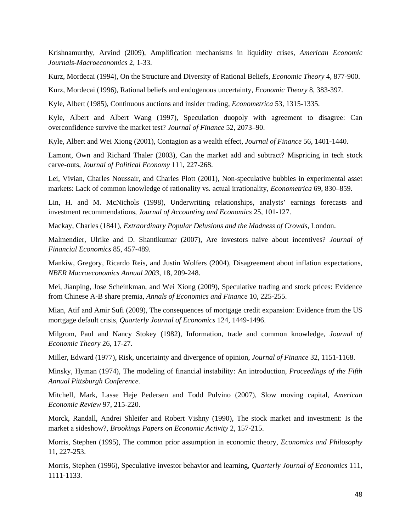Krishnamurthy, Arvind (2009), Amplification mechanisms in liquidity crises, *American Economic Journals-Macroeconomics* 2, 1-33.

Kurz, Mordecai (1994), On the Structure and Diversity of Rational Beliefs, *Economic Theory* 4, 877-900.

Kurz, Mordecai (1996), Rational beliefs and endogenous uncertainty, *Economic Theory* 8, 383-397.

Kyle, Albert (1985), Continuous auctions and insider trading, *Econometrica* 53, 1315-1335.

Kyle, Albert and Albert Wang (1997), Speculation duopoly with agreement to disagree: Can overconfidence survive the market test? *Journal of Finance* 52, 2073–90.

Kyle, Albert and Wei Xiong (2001), Contagion as a wealth effect, *Journal of Finance* 56, 1401-1440.

Lamont, Own and Richard Thaler (2003), Can the market add and subtract? Mispricing in tech stock carve-outs, *Journal of Political Economy* 111, 227-268.

Lei, Vivian, Charles Noussair, and Charles Plott (2001), Non-speculative bubbles in experimental asset markets: Lack of common knowledge of rationality vs. actual irrationality, *Econometrica* 69, 830–859.

Lin, H. and M. McNichols (1998), Underwriting relationships, analysts' earnings forecasts and investment recommendations, *Journal of Accounting and Economics* 25, 101-127.

Mackay, Charles (1841), *Extraordinary Popular Delusions and the Madness of Crowds*, London.

Malmendier, Ulrike and D. Shantikumar (2007), Are investors naive about incentives? *Journal of Financial Economics* 85, 457-489.

Mankiw, Gregory, Ricardo Reis, and Justin Wolfers (2004), Disagreement about inflation expectations, *NBER Macroeconomics Annual 2003*, 18, 209-248.

Mei, Jianping, Jose Scheinkman, and Wei Xiong (2009), Speculative trading and stock prices: Evidence from Chinese A-B share premia, *Annals of Economics and Finance* 10, 225-255.

Mian, Atif and Amir Sufi (2009), The consequences of mortgage credit expansion: Evidence from the US mortgage default crisis, *Quarterly Journal of Economics* 124, 1449-1496.

Milgrom, Paul and Nancy Stokey (1982), Information, trade and common knowledge, *Journal of Economic Theory* 26, 17-27.

Miller, Edward (1977), Risk, uncertainty and divergence of opinion, *Journal of Finance* 32, 1151-1168.

Minsky, Hyman (1974), The modeling of financial instability: An introduction, *Proceedings of the Fifth Annual Pittsburgh Conference.*

Mitchell, Mark, Lasse Heje Pedersen and Todd Pulvino (2007), Slow moving capital, *American Economic Review* 97, 215-220.

Morck, Randall, Andrei Shleifer and Robert Vishny (1990), The stock market and investment: Is the market a sideshow?, *Brookings Papers on Economic Activity* 2, 157-215.

Morris, Stephen (1995), The common prior assumption in economic theory, *Economics and Philosophy* 11, 227-253.

Morris, Stephen (1996), Speculative investor behavior and learning, *Quarterly Journal of Economics* 111, 1111-1133.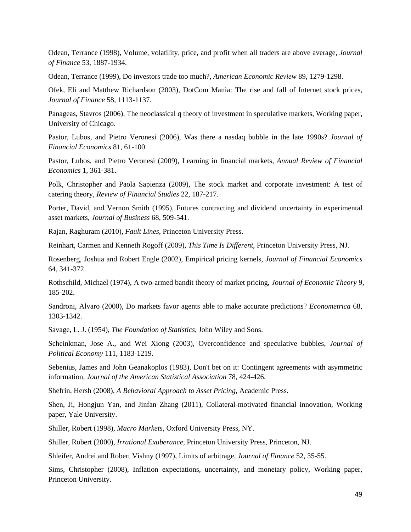Odean, Terrance (1998), Volume, volatility, price, and profit when all traders are above average, *Journal of Finance* 53, 1887-1934.

Odean, Terrance (1999), Do investors trade too much?, *American Economic Review* 89, 1279-1298.

Ofek, Eli and Matthew Richardson (2003), DotCom Mania: The rise and fall of Internet stock prices, *Journal of Finance* 58, 1113-1137.

Panageas, Stavros (2006), The neoclassical q theory of investment in speculative markets, Working paper, University of Chicago.

Pastor, Lubos, and Pietro Veronesi (2006), Was there a nasdaq bubble in the late 1990s? *Journal of Financial Economics* 81, 61-100.

Pastor, Lubos, and Pietro Veronesi (2009), Learning in financial markets, *Annual Review of Financial Economics* 1, 361-381.

Polk, Christopher and Paola Sapienza (2009), The stock market and corporate investment: A test of catering theory, *Review of Financial Studies* 22, 187-217.

Porter, David, and Vernon Smith (1995), Futures contracting and dividend uncertainty in experimental asset markets, *Journal of Business* 68, 509-541.

Rajan, Raghuram (2010), *Fault Lines*, Princeton University Press.

Reinhart, Carmen and Kenneth Rogoff (2009), *This Time Is Different*, Princeton University Press, NJ.

Rosenberg, Joshua and Robert Engle (2002), Empirical pricing kernels, *Journal of Financial Economics* 64, 341-372.

Rothschild, Michael (1974), A two-armed bandit theory of market pricing, *Journal of Economic Theory* 9, 185-202.

Sandroni, Alvaro (2000), Do markets favor agents able to make accurate predictions? *Econometrica* 68, 1303-1342.

Savage, L. J. (1954), *The Foundation of Statistics*, John Wiley and Sons.

Scheinkman, Jose A., and Wei Xiong (2003), Overconfidence and speculative bubbles, *Journal of Political Economy* 111, 1183-1219.

Sebenius, James and John Geanakoplos (1983), Don't bet on it: Contingent agreements with asymmetric information, *Journal of the American Statistical Association* 78, 424-426.

Shefrin, Hersh (2008), *A Behavioral Approach to Asset Pricing*, Academic Press.

Shen, Ji, Hongjun Yan, and Jinfan Zhang (2011), Collateral-motivated financial innovation, Working paper, Yale University.

Shiller, Robert (1998), *Macro Markets*, Oxford University Press, NY.

Shiller, Robert (2000), *Irrational Exuberance*, Princeton University Press, Princeton, NJ.

Shleifer, Andrei and Robert Vishny (1997), Limits of arbitrage, *Journal of Finance* 52, 35-55.

Sims, Christopher (2008), Inflation expectations, uncertainty, and monetary policy, Working paper, Princeton University.